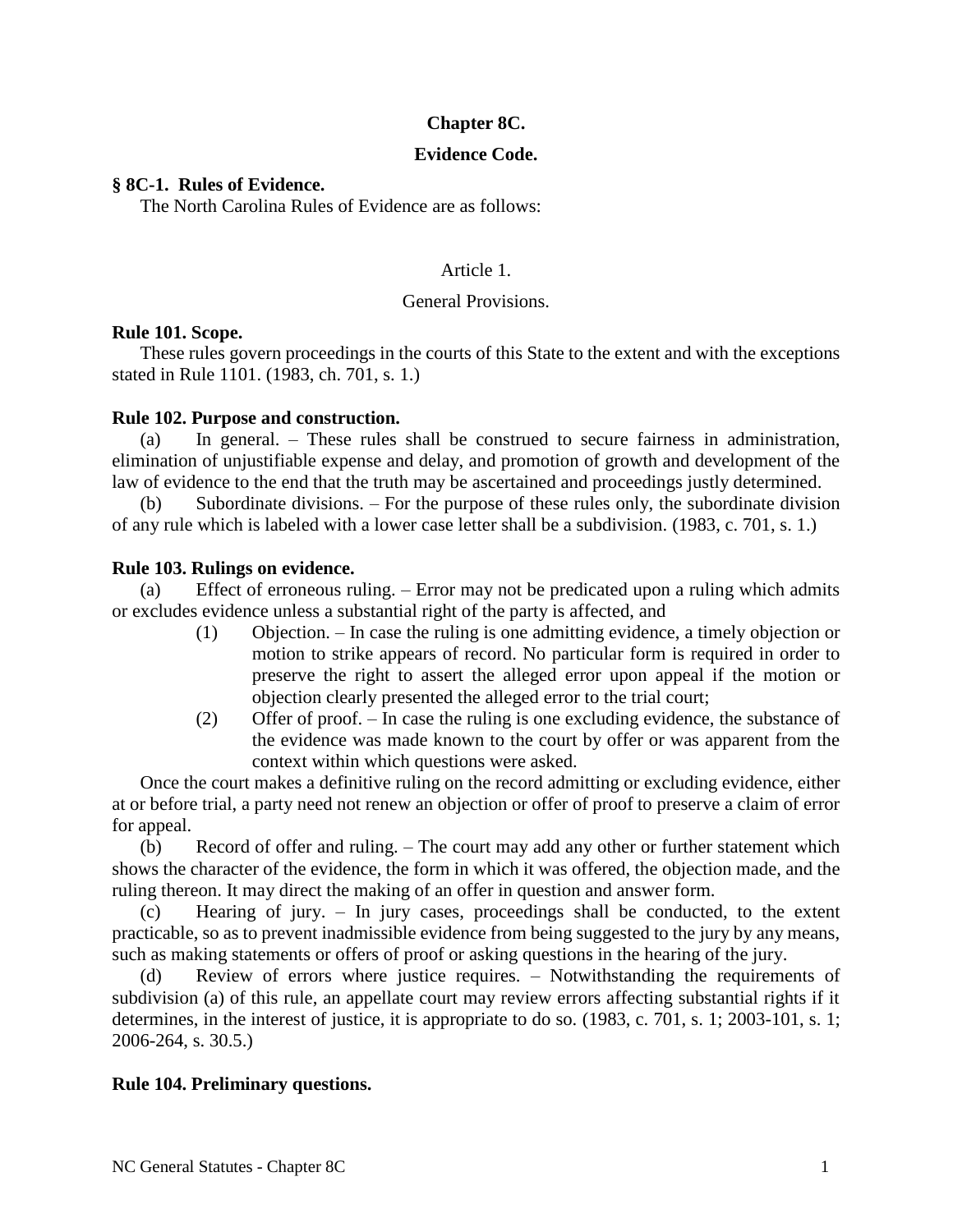## **Chapter 8C.**

### **Evidence Code.**

### **§ 8C-1. Rules of Evidence.**

The North Carolina Rules of Evidence are as follows:

## Article 1.

### General Provisions.

### **Rule 101. Scope.**

These rules govern proceedings in the courts of this State to the extent and with the exceptions stated in Rule 1101. (1983, ch. 701, s. 1.)

## **Rule 102. Purpose and construction.**

(a) In general. – These rules shall be construed to secure fairness in administration, elimination of unjustifiable expense and delay, and promotion of growth and development of the law of evidence to the end that the truth may be ascertained and proceedings justly determined.

(b) Subordinate divisions. – For the purpose of these rules only, the subordinate division of any rule which is labeled with a lower case letter shall be a subdivision. (1983, c. 701, s. 1.)

### **Rule 103. Rulings on evidence.**

(a) Effect of erroneous ruling. – Error may not be predicated upon a ruling which admits or excludes evidence unless a substantial right of the party is affected, and

- (1) Objection. In case the ruling is one admitting evidence, a timely objection or motion to strike appears of record. No particular form is required in order to preserve the right to assert the alleged error upon appeal if the motion or objection clearly presented the alleged error to the trial court;
- (2) Offer of proof. In case the ruling is one excluding evidence, the substance of the evidence was made known to the court by offer or was apparent from the context within which questions were asked.

Once the court makes a definitive ruling on the record admitting or excluding evidence, either at or before trial, a party need not renew an objection or offer of proof to preserve a claim of error for appeal.

(b) Record of offer and ruling. – The court may add any other or further statement which shows the character of the evidence, the form in which it was offered, the objection made, and the ruling thereon. It may direct the making of an offer in question and answer form.

(c) Hearing of jury. – In jury cases, proceedings shall be conducted, to the extent practicable, so as to prevent inadmissible evidence from being suggested to the jury by any means, such as making statements or offers of proof or asking questions in the hearing of the jury.

(d) Review of errors where justice requires. – Notwithstanding the requirements of subdivision (a) of this rule, an appellate court may review errors affecting substantial rights if it determines, in the interest of justice, it is appropriate to do so. (1983, c. 701, s. 1; 2003-101, s. 1; 2006-264, s. 30.5.)

## **Rule 104. Preliminary questions.**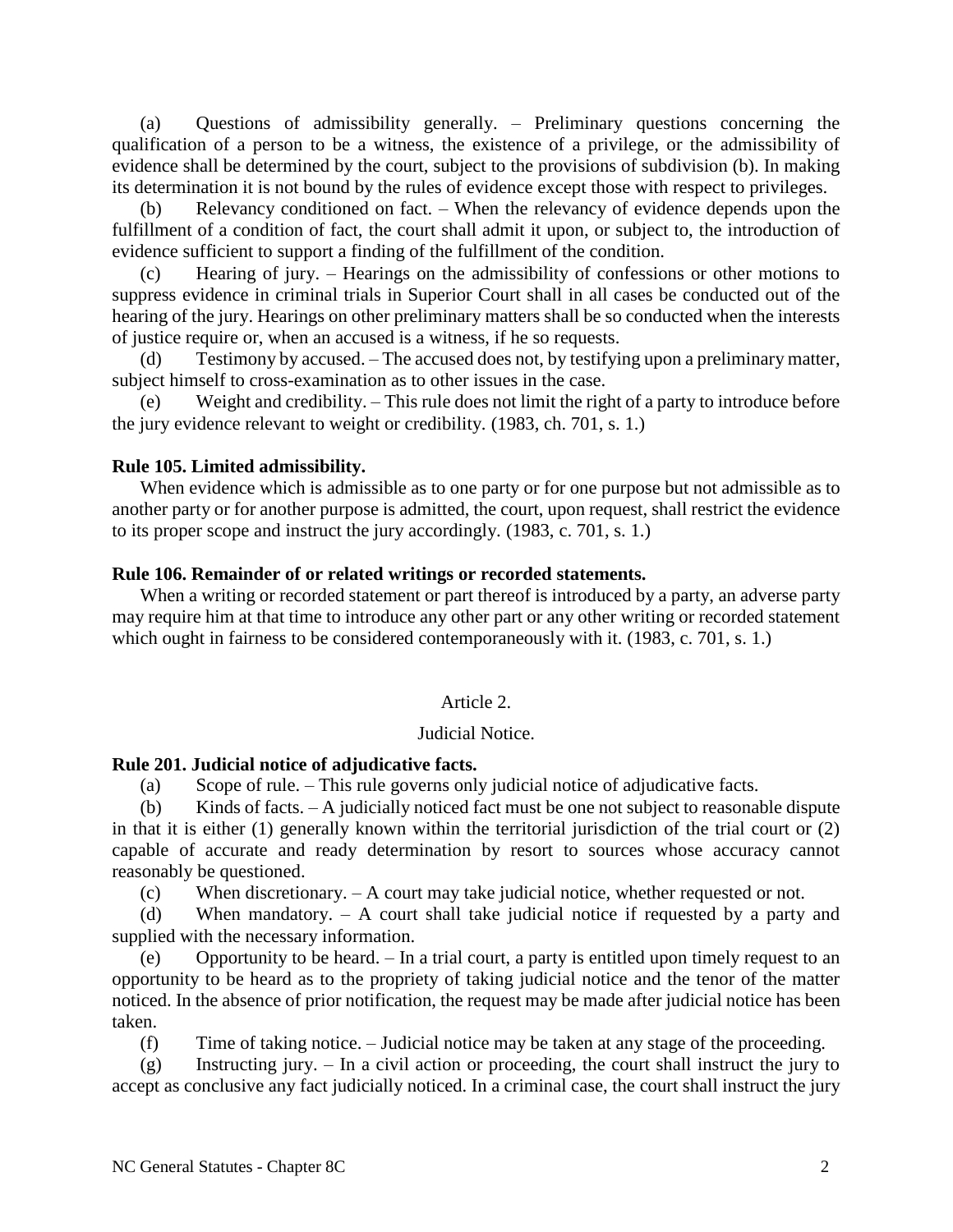(a) Questions of admissibility generally. – Preliminary questions concerning the qualification of a person to be a witness, the existence of a privilege, or the admissibility of evidence shall be determined by the court, subject to the provisions of subdivision (b). In making its determination it is not bound by the rules of evidence except those with respect to privileges.

(b) Relevancy conditioned on fact. – When the relevancy of evidence depends upon the fulfillment of a condition of fact, the court shall admit it upon, or subject to, the introduction of evidence sufficient to support a finding of the fulfillment of the condition.

(c) Hearing of jury. – Hearings on the admissibility of confessions or other motions to suppress evidence in criminal trials in Superior Court shall in all cases be conducted out of the hearing of the jury. Hearings on other preliminary matters shall be so conducted when the interests of justice require or, when an accused is a witness, if he so requests.

(d) Testimony by accused. – The accused does not, by testifying upon a preliminary matter, subject himself to cross-examination as to other issues in the case.

(e) Weight and credibility. – This rule does not limit the right of a party to introduce before the jury evidence relevant to weight or credibility. (1983, ch. 701, s. 1.)

### **Rule 105. Limited admissibility.**

When evidence which is admissible as to one party or for one purpose but not admissible as to another party or for another purpose is admitted, the court, upon request, shall restrict the evidence to its proper scope and instruct the jury accordingly. (1983, c. 701, s. 1.)

### **Rule 106. Remainder of or related writings or recorded statements.**

When a writing or recorded statement or part thereof is introduced by a party, an adverse party may require him at that time to introduce any other part or any other writing or recorded statement which ought in fairness to be considered contemporaneously with it. (1983, c. 701, s. 1.)

## Article 2.

### Judicial Notice.

### **Rule 201. Judicial notice of adjudicative facts.**

(a) Scope of rule. – This rule governs only judicial notice of adjudicative facts.

(b) Kinds of facts. – A judicially noticed fact must be one not subject to reasonable dispute in that it is either (1) generally known within the territorial jurisdiction of the trial court or (2) capable of accurate and ready determination by resort to sources whose accuracy cannot reasonably be questioned.

(c) When discretionary. – A court may take judicial notice, whether requested or not.

(d) When mandatory. – A court shall take judicial notice if requested by a party and supplied with the necessary information.

(e) Opportunity to be heard. – In a trial court, a party is entitled upon timely request to an opportunity to be heard as to the propriety of taking judicial notice and the tenor of the matter noticed. In the absence of prior notification, the request may be made after judicial notice has been taken.

(f) Time of taking notice. – Judicial notice may be taken at any stage of the proceeding.

(g) Instructing jury. – In a civil action or proceeding, the court shall instruct the jury to accept as conclusive any fact judicially noticed. In a criminal case, the court shall instruct the jury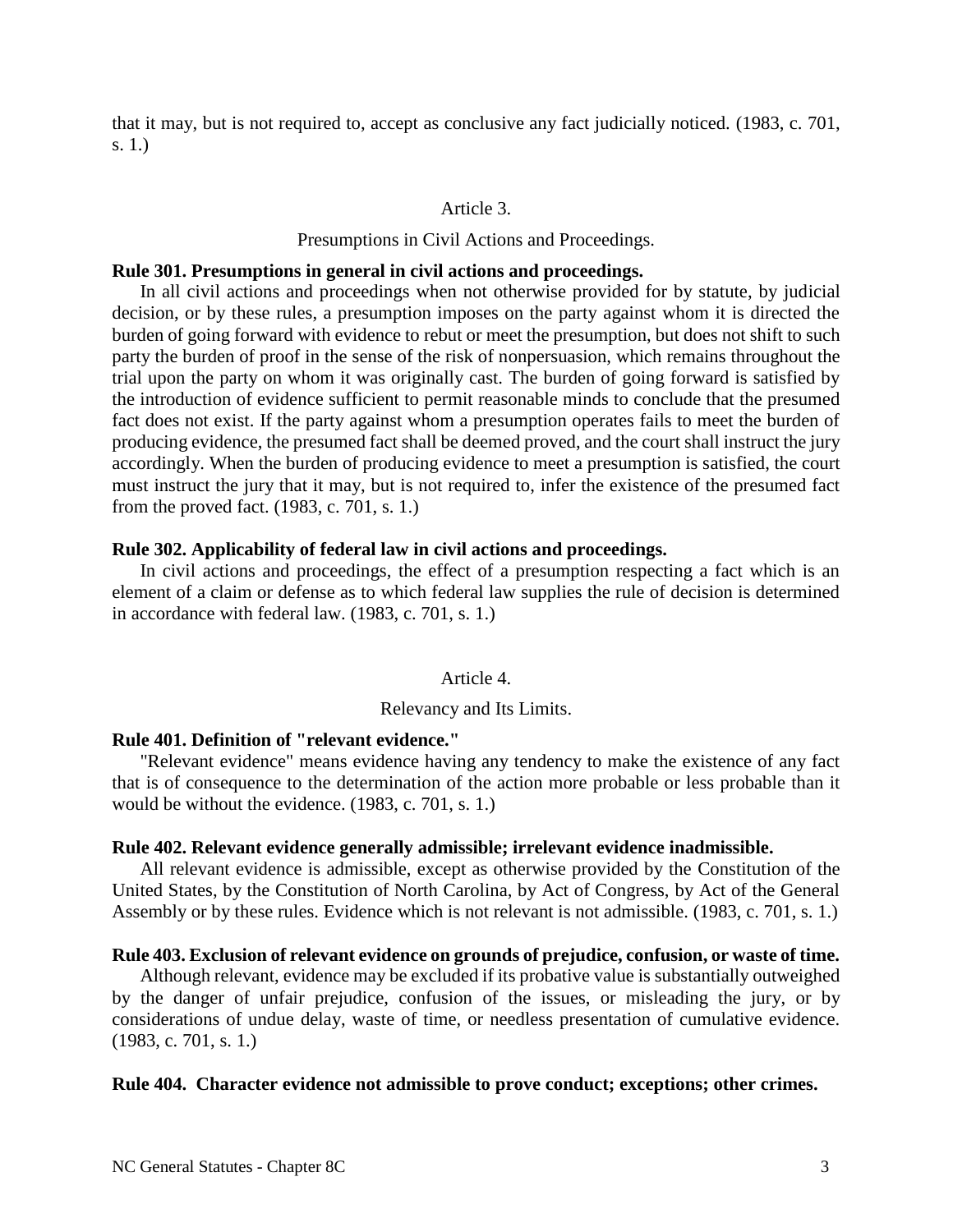that it may, but is not required to, accept as conclusive any fact judicially noticed. (1983, c. 701, s. 1.)

## Article 3.

#### Presumptions in Civil Actions and Proceedings.

#### **Rule 301. Presumptions in general in civil actions and proceedings.**

In all civil actions and proceedings when not otherwise provided for by statute, by judicial decision, or by these rules, a presumption imposes on the party against whom it is directed the burden of going forward with evidence to rebut or meet the presumption, but does not shift to such party the burden of proof in the sense of the risk of nonpersuasion, which remains throughout the trial upon the party on whom it was originally cast. The burden of going forward is satisfied by the introduction of evidence sufficient to permit reasonable minds to conclude that the presumed fact does not exist. If the party against whom a presumption operates fails to meet the burden of producing evidence, the presumed fact shall be deemed proved, and the court shall instruct the jury accordingly. When the burden of producing evidence to meet a presumption is satisfied, the court must instruct the jury that it may, but is not required to, infer the existence of the presumed fact from the proved fact. (1983, c. 701, s. 1.)

#### **Rule 302. Applicability of federal law in civil actions and proceedings.**

In civil actions and proceedings, the effect of a presumption respecting a fact which is an element of a claim or defense as to which federal law supplies the rule of decision is determined in accordance with federal law. (1983, c. 701, s. 1.)

#### Article 4.

### Relevancy and Its Limits.

### **Rule 401. Definition of "relevant evidence."**

"Relevant evidence" means evidence having any tendency to make the existence of any fact that is of consequence to the determination of the action more probable or less probable than it would be without the evidence. (1983, c. 701, s. 1.)

### **Rule 402. Relevant evidence generally admissible; irrelevant evidence inadmissible.**

All relevant evidence is admissible, except as otherwise provided by the Constitution of the United States, by the Constitution of North Carolina, by Act of Congress, by Act of the General Assembly or by these rules. Evidence which is not relevant is not admissible. (1983, c. 701, s. 1.)

#### **Rule 403. Exclusion of relevant evidence on grounds of prejudice, confusion, or waste of time.**

Although relevant, evidence may be excluded if its probative value is substantially outweighed by the danger of unfair prejudice, confusion of the issues, or misleading the jury, or by considerations of undue delay, waste of time, or needless presentation of cumulative evidence. (1983, c. 701, s. 1.)

### **Rule 404. Character evidence not admissible to prove conduct; exceptions; other crimes.**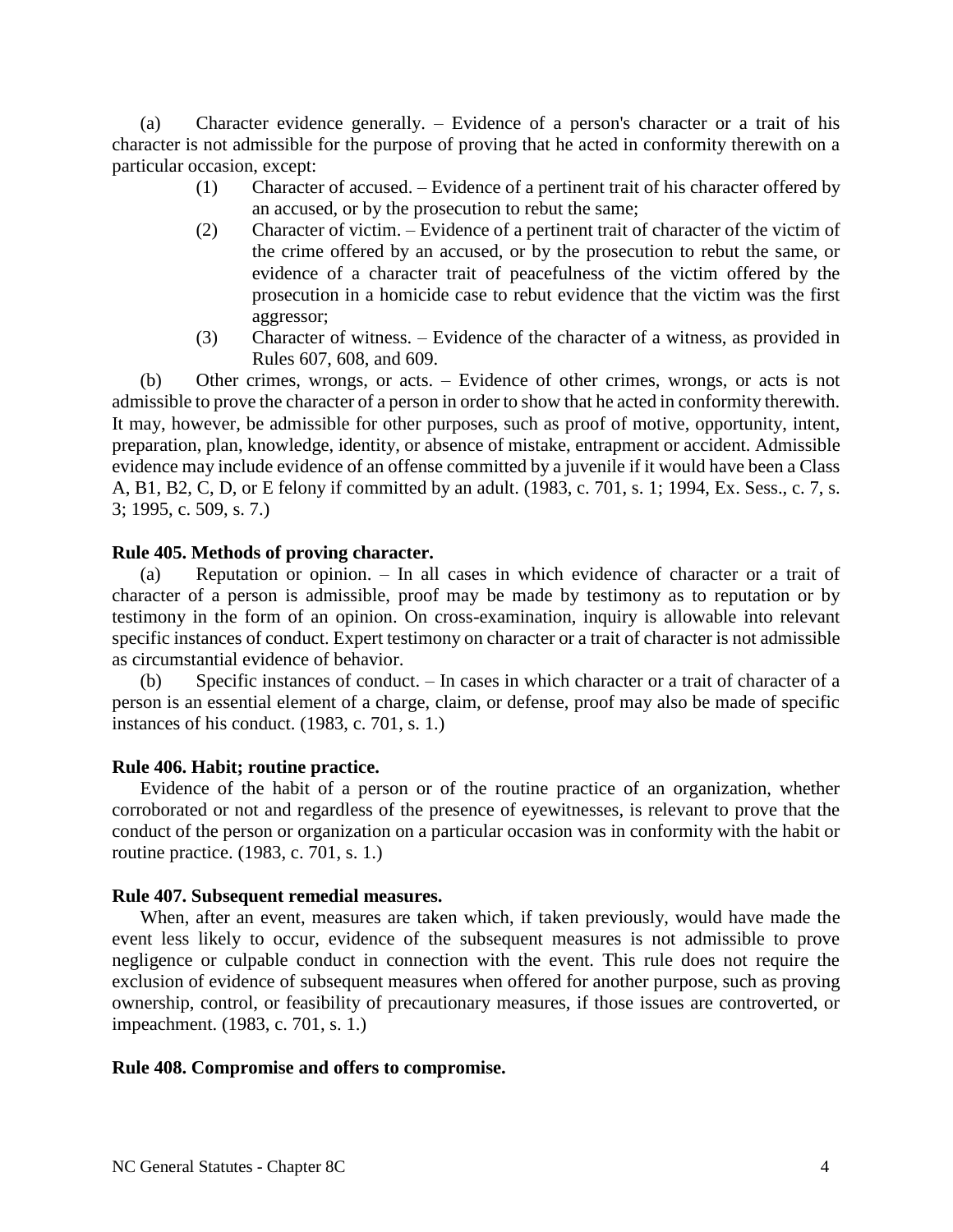(a) Character evidence generally. – Evidence of a person's character or a trait of his character is not admissible for the purpose of proving that he acted in conformity therewith on a particular occasion, except:

- (1) Character of accused. Evidence of a pertinent trait of his character offered by an accused, or by the prosecution to rebut the same;
- (2) Character of victim. Evidence of a pertinent trait of character of the victim of the crime offered by an accused, or by the prosecution to rebut the same, or evidence of a character trait of peacefulness of the victim offered by the prosecution in a homicide case to rebut evidence that the victim was the first aggressor;
- (3) Character of witness. Evidence of the character of a witness, as provided in Rules 607, 608, and 609.

(b) Other crimes, wrongs, or acts. – Evidence of other crimes, wrongs, or acts is not admissible to prove the character of a person in order to show that he acted in conformity therewith. It may, however, be admissible for other purposes, such as proof of motive, opportunity, intent, preparation, plan, knowledge, identity, or absence of mistake, entrapment or accident. Admissible evidence may include evidence of an offense committed by a juvenile if it would have been a Class A, B1, B2, C, D, or E felony if committed by an adult. (1983, c. 701, s. 1; 1994, Ex. Sess., c. 7, s. 3; 1995, c. 509, s. 7.)

### **Rule 405. Methods of proving character.**

(a) Reputation or opinion. – In all cases in which evidence of character or a trait of character of a person is admissible, proof may be made by testimony as to reputation or by testimony in the form of an opinion. On cross-examination, inquiry is allowable into relevant specific instances of conduct. Expert testimony on character or a trait of character is not admissible as circumstantial evidence of behavior.

(b) Specific instances of conduct. – In cases in which character or a trait of character of a person is an essential element of a charge, claim, or defense, proof may also be made of specific instances of his conduct. (1983, c. 701, s. 1.)

### **Rule 406. Habit; routine practice.**

Evidence of the habit of a person or of the routine practice of an organization, whether corroborated or not and regardless of the presence of eyewitnesses, is relevant to prove that the conduct of the person or organization on a particular occasion was in conformity with the habit or routine practice. (1983, c. 701, s. 1.)

### **Rule 407. Subsequent remedial measures.**

When, after an event, measures are taken which, if taken previously, would have made the event less likely to occur, evidence of the subsequent measures is not admissible to prove negligence or culpable conduct in connection with the event. This rule does not require the exclusion of evidence of subsequent measures when offered for another purpose, such as proving ownership, control, or feasibility of precautionary measures, if those issues are controverted, or impeachment. (1983, c. 701, s. 1.)

### **Rule 408. Compromise and offers to compromise.**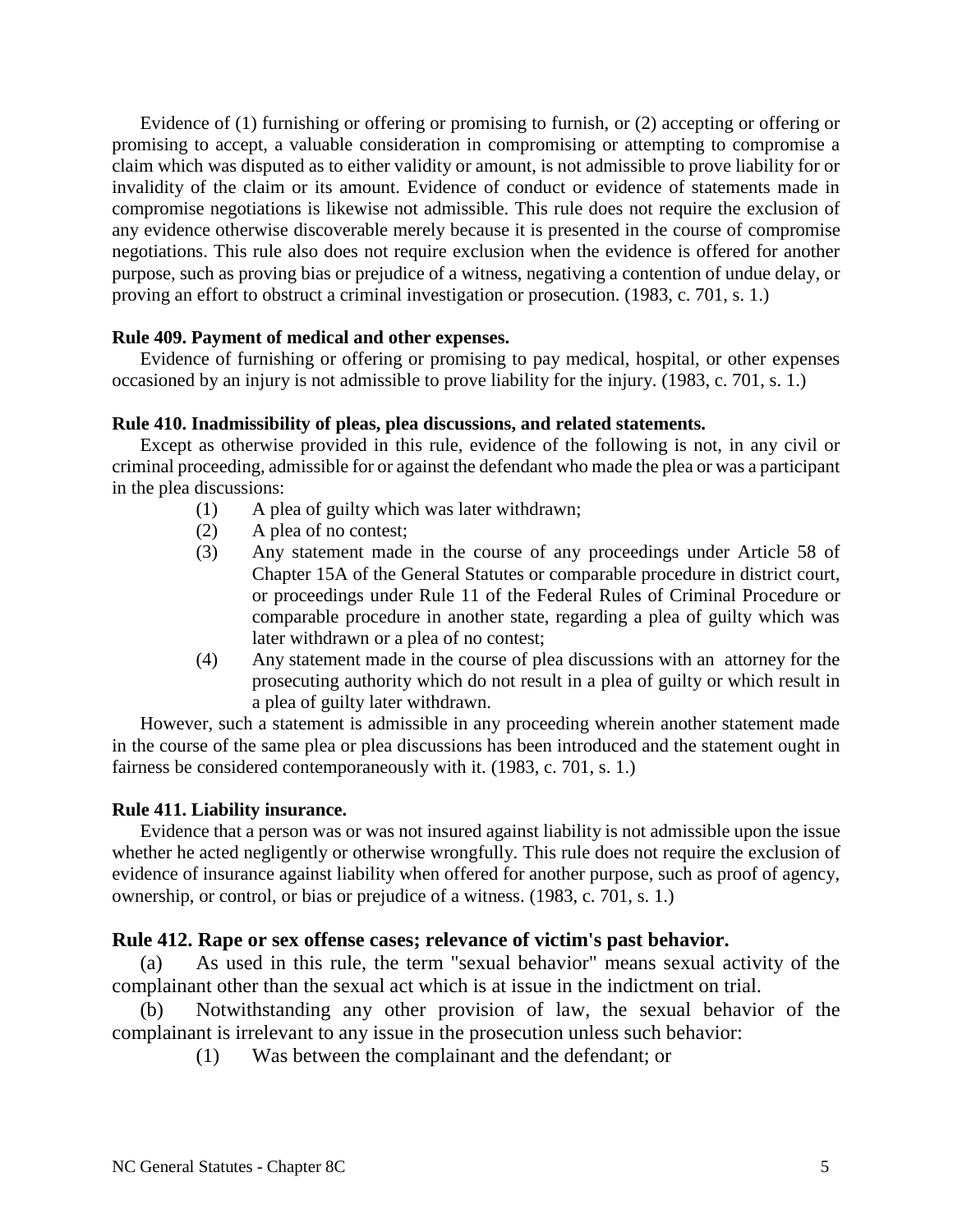Evidence of (1) furnishing or offering or promising to furnish, or (2) accepting or offering or promising to accept, a valuable consideration in compromising or attempting to compromise a claim which was disputed as to either validity or amount, is not admissible to prove liability for or invalidity of the claim or its amount. Evidence of conduct or evidence of statements made in compromise negotiations is likewise not admissible. This rule does not require the exclusion of any evidence otherwise discoverable merely because it is presented in the course of compromise negotiations. This rule also does not require exclusion when the evidence is offered for another purpose, such as proving bias or prejudice of a witness, negativing a contention of undue delay, or proving an effort to obstruct a criminal investigation or prosecution. (1983, c. 701, s. 1.)

### **Rule 409. Payment of medical and other expenses.**

Evidence of furnishing or offering or promising to pay medical, hospital, or other expenses occasioned by an injury is not admissible to prove liability for the injury. (1983, c. 701, s. 1.)

#### **Rule 410. Inadmissibility of pleas, plea discussions, and related statements.**

Except as otherwise provided in this rule, evidence of the following is not, in any civil or criminal proceeding, admissible for or against the defendant who made the plea or was a participant in the plea discussions:

- (1) A plea of guilty which was later withdrawn;
- (2) A plea of no contest;
- (3) Any statement made in the course of any proceedings under Article 58 of Chapter 15A of the General Statutes or comparable procedure in district court, or proceedings under Rule 11 of the Federal Rules of Criminal Procedure or comparable procedure in another state, regarding a plea of guilty which was later withdrawn or a plea of no contest;
- (4) Any statement made in the course of plea discussions with an attorney for the prosecuting authority which do not result in a plea of guilty or which result in a plea of guilty later withdrawn.

However, such a statement is admissible in any proceeding wherein another statement made in the course of the same plea or plea discussions has been introduced and the statement ought in fairness be considered contemporaneously with it. (1983, c. 701, s. 1.)

#### **Rule 411. Liability insurance.**

Evidence that a person was or was not insured against liability is not admissible upon the issue whether he acted negligently or otherwise wrongfully. This rule does not require the exclusion of evidence of insurance against liability when offered for another purpose, such as proof of agency, ownership, or control, or bias or prejudice of a witness. (1983, c. 701, s. 1.)

### **Rule 412. Rape or sex offense cases; relevance of victim's past behavior.**

(a) As used in this rule, the term "sexual behavior" means sexual activity of the complainant other than the sexual act which is at issue in the indictment on trial.

(b) Notwithstanding any other provision of law, the sexual behavior of the complainant is irrelevant to any issue in the prosecution unless such behavior:

(1) Was between the complainant and the defendant; or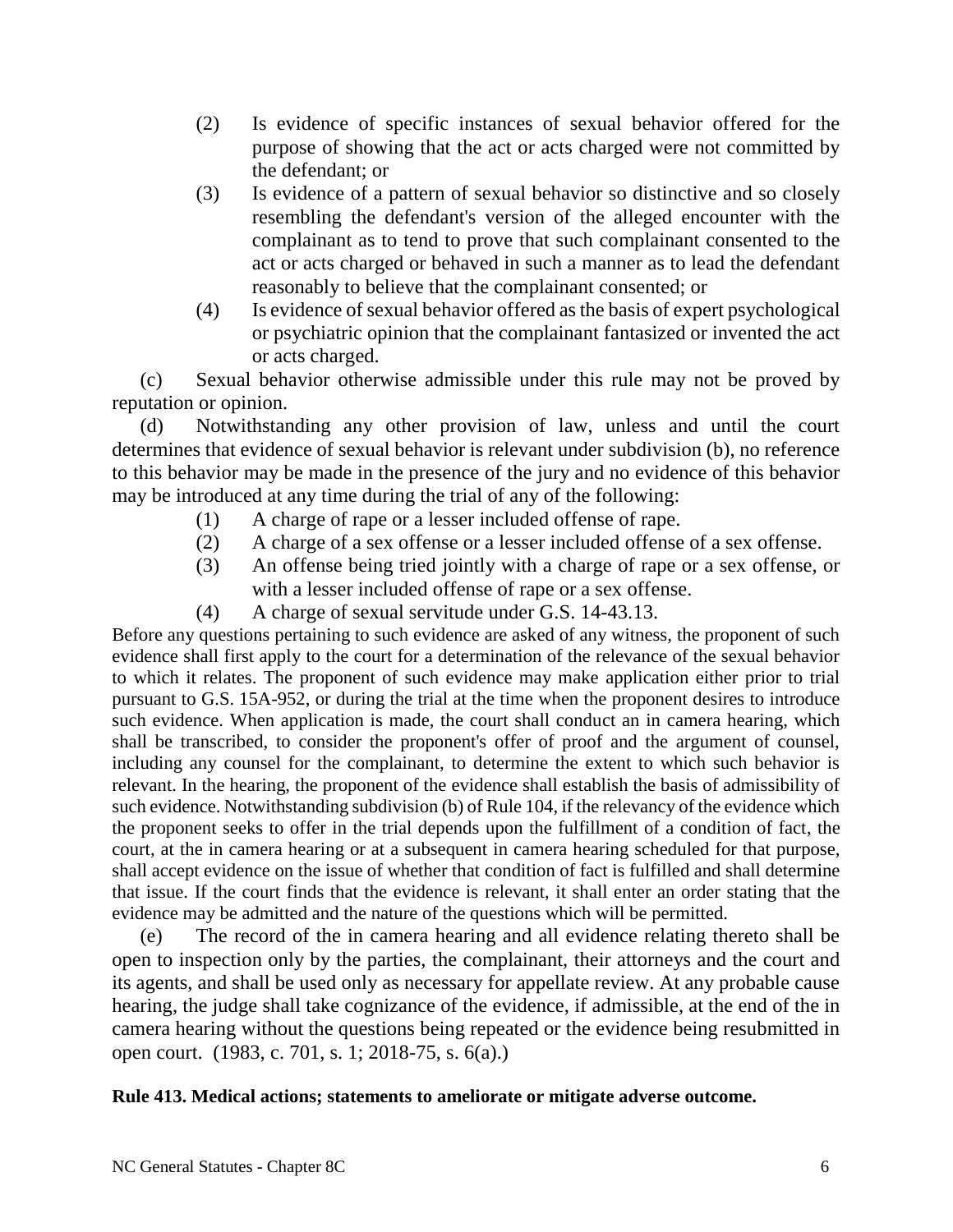- (2) Is evidence of specific instances of sexual behavior offered for the purpose of showing that the act or acts charged were not committed by the defendant; or
- (3) Is evidence of a pattern of sexual behavior so distinctive and so closely resembling the defendant's version of the alleged encounter with the complainant as to tend to prove that such complainant consented to the act or acts charged or behaved in such a manner as to lead the defendant reasonably to believe that the complainant consented; or
- (4) Is evidence of sexual behavior offered as the basis of expert psychological or psychiatric opinion that the complainant fantasized or invented the act or acts charged.

(c) Sexual behavior otherwise admissible under this rule may not be proved by reputation or opinion.

(d) Notwithstanding any other provision of law, unless and until the court determines that evidence of sexual behavior is relevant under subdivision (b), no reference to this behavior may be made in the presence of the jury and no evidence of this behavior may be introduced at any time during the trial of any of the following:

- (1) A charge of rape or a lesser included offense of rape.
- (2) A charge of a sex offense or a lesser included offense of a sex offense.
- (3) An offense being tried jointly with a charge of rape or a sex offense, or with a lesser included offense of rape or a sex offense.
- (4) A charge of sexual servitude under G.S. 14-43.13.

Before any questions pertaining to such evidence are asked of any witness, the proponent of such evidence shall first apply to the court for a determination of the relevance of the sexual behavior to which it relates. The proponent of such evidence may make application either prior to trial pursuant to G.S. 15A-952, or during the trial at the time when the proponent desires to introduce such evidence. When application is made, the court shall conduct an in camera hearing, which shall be transcribed, to consider the proponent's offer of proof and the argument of counsel, including any counsel for the complainant, to determine the extent to which such behavior is relevant. In the hearing, the proponent of the evidence shall establish the basis of admissibility of such evidence. Notwithstanding subdivision (b) of Rule 104, if the relevancy of the evidence which the proponent seeks to offer in the trial depends upon the fulfillment of a condition of fact, the court, at the in camera hearing or at a subsequent in camera hearing scheduled for that purpose, shall accept evidence on the issue of whether that condition of fact is fulfilled and shall determine that issue. If the court finds that the evidence is relevant, it shall enter an order stating that the evidence may be admitted and the nature of the questions which will be permitted.

(e) The record of the in camera hearing and all evidence relating thereto shall be open to inspection only by the parties, the complainant, their attorneys and the court and its agents, and shall be used only as necessary for appellate review. At any probable cause hearing, the judge shall take cognizance of the evidence, if admissible, at the end of the in camera hearing without the questions being repeated or the evidence being resubmitted in open court. (1983, c. 701, s. 1; 2018-75, s. 6(a).)

# **Rule 413. Medical actions; statements to ameliorate or mitigate adverse outcome.**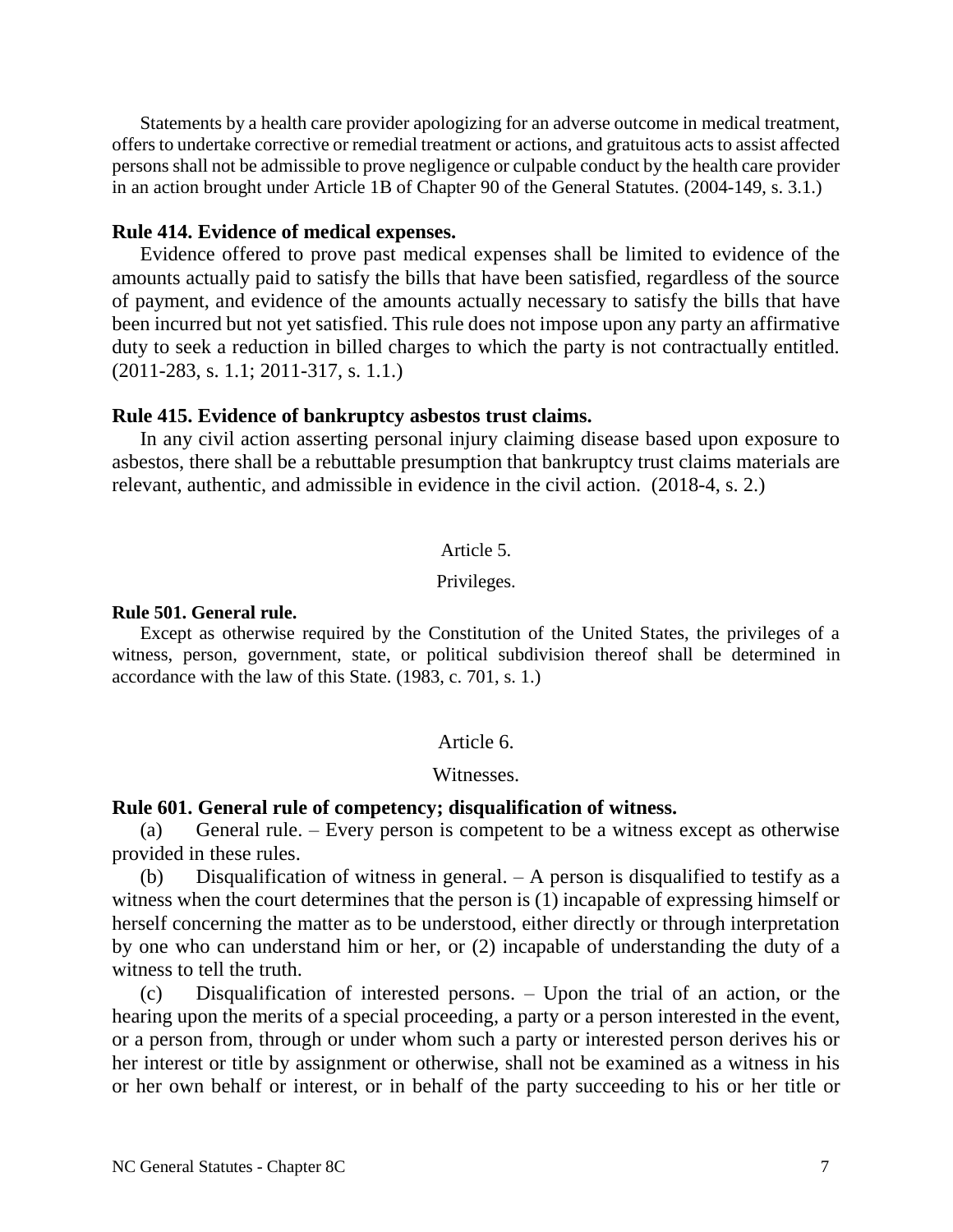Statements by a health care provider apologizing for an adverse outcome in medical treatment, offers to undertake corrective or remedial treatment or actions, and gratuitous acts to assist affected persons shall not be admissible to prove negligence or culpable conduct by the health care provider in an action brought under Article 1B of Chapter 90 of the General Statutes. (2004-149, s. 3.1.)

## **Rule 414. Evidence of medical expenses.**

Evidence offered to prove past medical expenses shall be limited to evidence of the amounts actually paid to satisfy the bills that have been satisfied, regardless of the source of payment, and evidence of the amounts actually necessary to satisfy the bills that have been incurred but not yet satisfied. This rule does not impose upon any party an affirmative duty to seek a reduction in billed charges to which the party is not contractually entitled. (2011-283, s. 1.1; 2011-317, s. 1.1.)

### **Rule 415. Evidence of bankruptcy asbestos trust claims.**

In any civil action asserting personal injury claiming disease based upon exposure to asbestos, there shall be a rebuttable presumption that bankruptcy trust claims materials are relevant, authentic, and admissible in evidence in the civil action. (2018-4, s. 2.)

### Article 5.

Privileges.

### **Rule 501. General rule.**

Except as otherwise required by the Constitution of the United States, the privileges of a witness, person, government, state, or political subdivision thereof shall be determined in accordance with the law of this State. (1983, c. 701, s. 1.)

## Article 6.

## Witnesses.

## **Rule 601. General rule of competency; disqualification of witness.**

(a) General rule. – Every person is competent to be a witness except as otherwise provided in these rules.

(b) Disqualification of witness in general. – A person is disqualified to testify as a witness when the court determines that the person is (1) incapable of expressing himself or herself concerning the matter as to be understood, either directly or through interpretation by one who can understand him or her, or (2) incapable of understanding the duty of a witness to tell the truth.

(c) Disqualification of interested persons. – Upon the trial of an action, or the hearing upon the merits of a special proceeding, a party or a person interested in the event, or a person from, through or under whom such a party or interested person derives his or her interest or title by assignment or otherwise, shall not be examined as a witness in his or her own behalf or interest, or in behalf of the party succeeding to his or her title or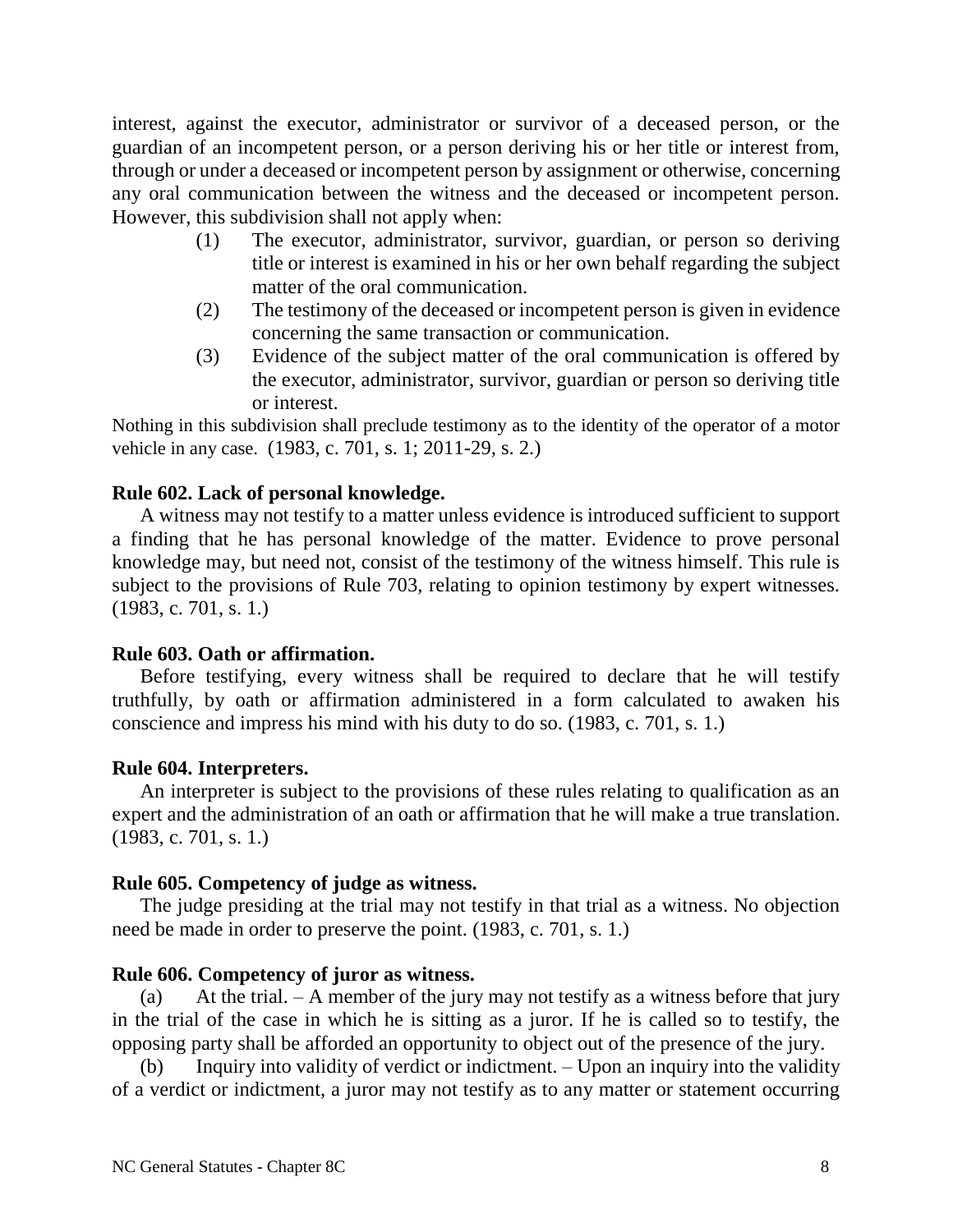interest, against the executor, administrator or survivor of a deceased person, or the guardian of an incompetent person, or a person deriving his or her title or interest from, through or under a deceased or incompetent person by assignment or otherwise, concerning any oral communication between the witness and the deceased or incompetent person. However, this subdivision shall not apply when:

- (1) The executor, administrator, survivor, guardian, or person so deriving title or interest is examined in his or her own behalf regarding the subject matter of the oral communication.
- (2) The testimony of the deceased or incompetent person is given in evidence concerning the same transaction or communication.
- (3) Evidence of the subject matter of the oral communication is offered by the executor, administrator, survivor, guardian or person so deriving title or interest.

Nothing in this subdivision shall preclude testimony as to the identity of the operator of a motor vehicle in any case. (1983, c. 701, s. 1; 2011-29, s. 2.)

# **Rule 602. Lack of personal knowledge.**

A witness may not testify to a matter unless evidence is introduced sufficient to support a finding that he has personal knowledge of the matter. Evidence to prove personal knowledge may, but need not, consist of the testimony of the witness himself. This rule is subject to the provisions of Rule 703, relating to opinion testimony by expert witnesses. (1983, c. 701, s. 1.)

# **Rule 603. Oath or affirmation.**

Before testifying, every witness shall be required to declare that he will testify truthfully, by oath or affirmation administered in a form calculated to awaken his conscience and impress his mind with his duty to do so. (1983, c. 701, s. 1.)

# **Rule 604. Interpreters.**

An interpreter is subject to the provisions of these rules relating to qualification as an expert and the administration of an oath or affirmation that he will make a true translation. (1983, c. 701, s. 1.)

# **Rule 605. Competency of judge as witness.**

The judge presiding at the trial may not testify in that trial as a witness. No objection need be made in order to preserve the point. (1983, c. 701, s. 1.)

# **Rule 606. Competency of juror as witness.**

(a) At the trial.  $-A$  member of the jury may not testify as a witness before that jury in the trial of the case in which he is sitting as a juror. If he is called so to testify, the opposing party shall be afforded an opportunity to object out of the presence of the jury.

(b) Inquiry into validity of verdict or indictment. – Upon an inquiry into the validity of a verdict or indictment, a juror may not testify as to any matter or statement occurring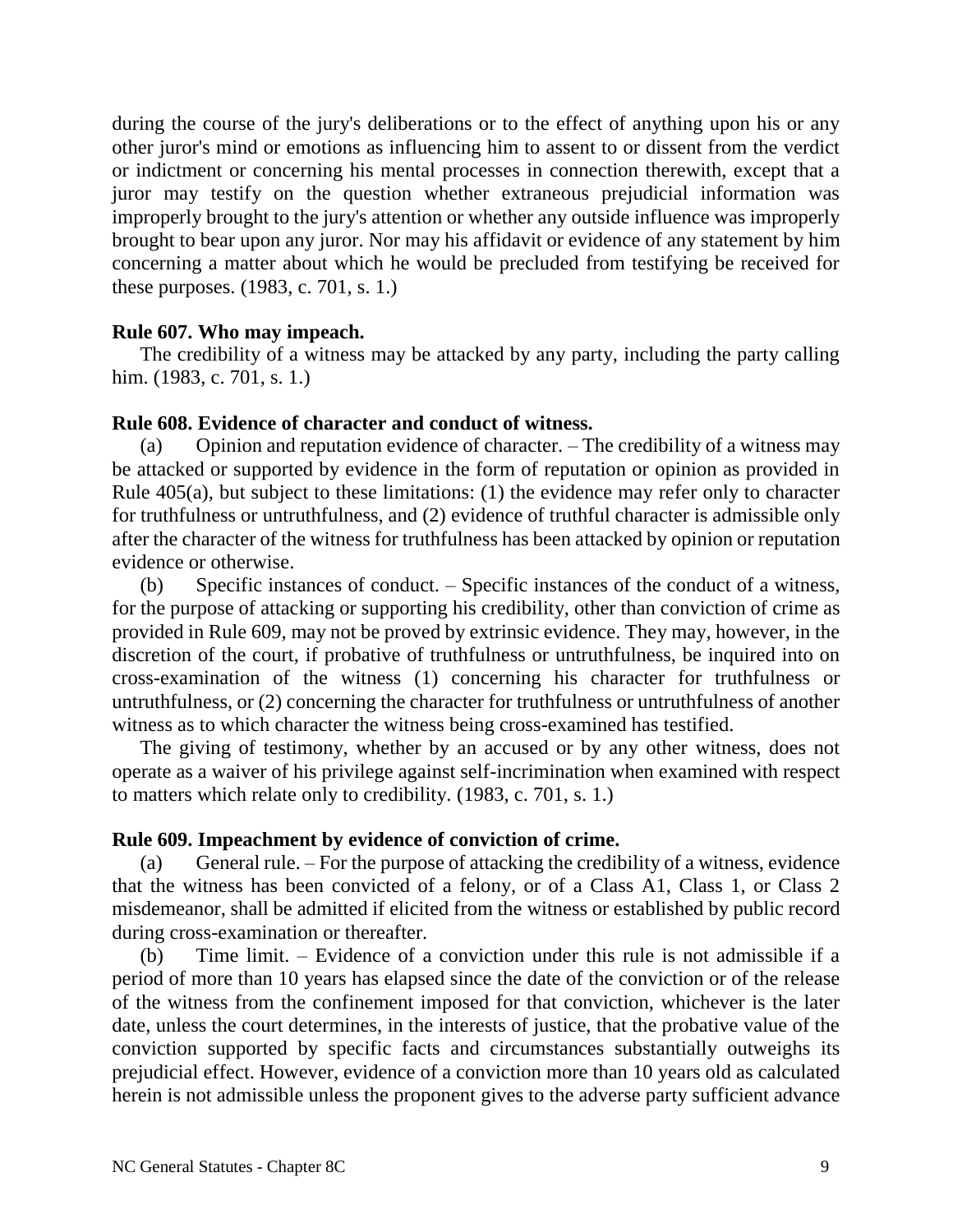during the course of the jury's deliberations or to the effect of anything upon his or any other juror's mind or emotions as influencing him to assent to or dissent from the verdict or indictment or concerning his mental processes in connection therewith, except that a juror may testify on the question whether extraneous prejudicial information was improperly brought to the jury's attention or whether any outside influence was improperly brought to bear upon any juror. Nor may his affidavit or evidence of any statement by him concerning a matter about which he would be precluded from testifying be received for these purposes. (1983, c. 701, s. 1.)

# **Rule 607. Who may impeach.**

The credibility of a witness may be attacked by any party, including the party calling him. (1983, c. 701, s. 1.)

# **Rule 608. Evidence of character and conduct of witness.**

(a) Opinion and reputation evidence of character. – The credibility of a witness may be attacked or supported by evidence in the form of reputation or opinion as provided in Rule 405(a), but subject to these limitations: (1) the evidence may refer only to character for truthfulness or untruthfulness, and (2) evidence of truthful character is admissible only after the character of the witness for truthfulness has been attacked by opinion or reputation evidence or otherwise.

(b) Specific instances of conduct. – Specific instances of the conduct of a witness, for the purpose of attacking or supporting his credibility, other than conviction of crime as provided in Rule 609, may not be proved by extrinsic evidence. They may, however, in the discretion of the court, if probative of truthfulness or untruthfulness, be inquired into on cross-examination of the witness (1) concerning his character for truthfulness or untruthfulness, or (2) concerning the character for truthfulness or untruthfulness of another witness as to which character the witness being cross-examined has testified.

The giving of testimony, whether by an accused or by any other witness, does not operate as a waiver of his privilege against self-incrimination when examined with respect to matters which relate only to credibility. (1983, c. 701, s. 1.)

# **Rule 609. Impeachment by evidence of conviction of crime.**

(a) General rule. – For the purpose of attacking the credibility of a witness, evidence that the witness has been convicted of a felony, or of a Class A1, Class 1, or Class 2 misdemeanor, shall be admitted if elicited from the witness or established by public record during cross-examination or thereafter.

(b) Time limit. – Evidence of a conviction under this rule is not admissible if a period of more than 10 years has elapsed since the date of the conviction or of the release of the witness from the confinement imposed for that conviction, whichever is the later date, unless the court determines, in the interests of justice, that the probative value of the conviction supported by specific facts and circumstances substantially outweighs its prejudicial effect. However, evidence of a conviction more than 10 years old as calculated herein is not admissible unless the proponent gives to the adverse party sufficient advance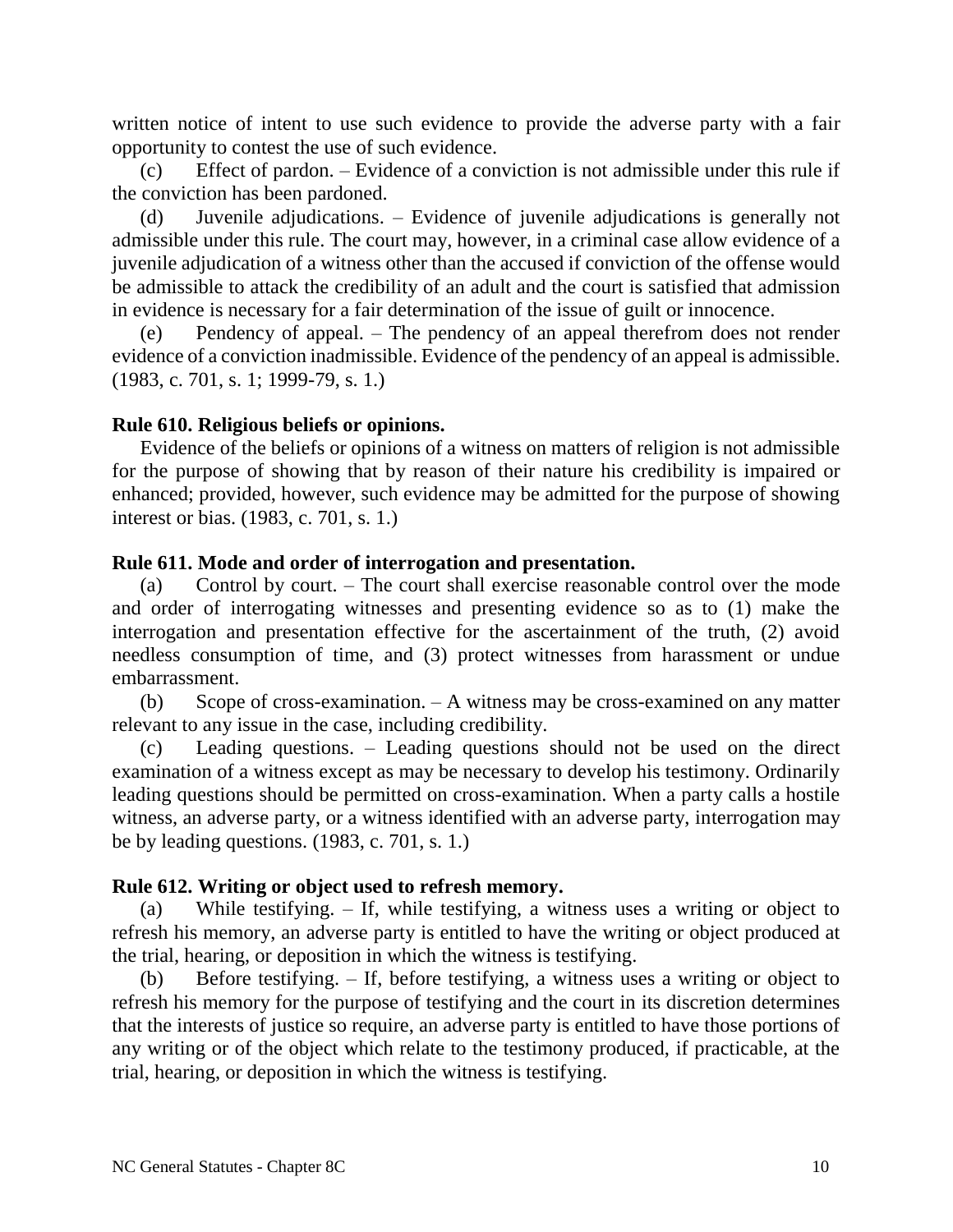written notice of intent to use such evidence to provide the adverse party with a fair opportunity to contest the use of such evidence.

(c) Effect of pardon. – Evidence of a conviction is not admissible under this rule if the conviction has been pardoned.

Juvenile adjudications. – Evidence of juvenile adjudications is generally not admissible under this rule. The court may, however, in a criminal case allow evidence of a juvenile adjudication of a witness other than the accused if conviction of the offense would be admissible to attack the credibility of an adult and the court is satisfied that admission in evidence is necessary for a fair determination of the issue of guilt or innocence.

(e) Pendency of appeal. – The pendency of an appeal therefrom does not render evidence of a conviction inadmissible. Evidence of the pendency of an appeal is admissible. (1983, c. 701, s. 1; 1999-79, s. 1.)

# **Rule 610. Religious beliefs or opinions.**

Evidence of the beliefs or opinions of a witness on matters of religion is not admissible for the purpose of showing that by reason of their nature his credibility is impaired or enhanced; provided, however, such evidence may be admitted for the purpose of showing interest or bias. (1983, c. 701, s. 1.)

# **Rule 611. Mode and order of interrogation and presentation.**

(a) Control by court. – The court shall exercise reasonable control over the mode and order of interrogating witnesses and presenting evidence so as to (1) make the interrogation and presentation effective for the ascertainment of the truth, (2) avoid needless consumption of time, and (3) protect witnesses from harassment or undue embarrassment.

(b) Scope of cross-examination. – A witness may be cross-examined on any matter relevant to any issue in the case, including credibility.

(c) Leading questions. – Leading questions should not be used on the direct examination of a witness except as may be necessary to develop his testimony. Ordinarily leading questions should be permitted on cross-examination. When a party calls a hostile witness, an adverse party, or a witness identified with an adverse party, interrogation may be by leading questions. (1983, c. 701, s. 1.)

# **Rule 612. Writing or object used to refresh memory.**

(a) While testifying. – If, while testifying, a witness uses a writing or object to refresh his memory, an adverse party is entitled to have the writing or object produced at the trial, hearing, or deposition in which the witness is testifying.

(b) Before testifying. – If, before testifying, a witness uses a writing or object to refresh his memory for the purpose of testifying and the court in its discretion determines that the interests of justice so require, an adverse party is entitled to have those portions of any writing or of the object which relate to the testimony produced, if practicable, at the trial, hearing, or deposition in which the witness is testifying.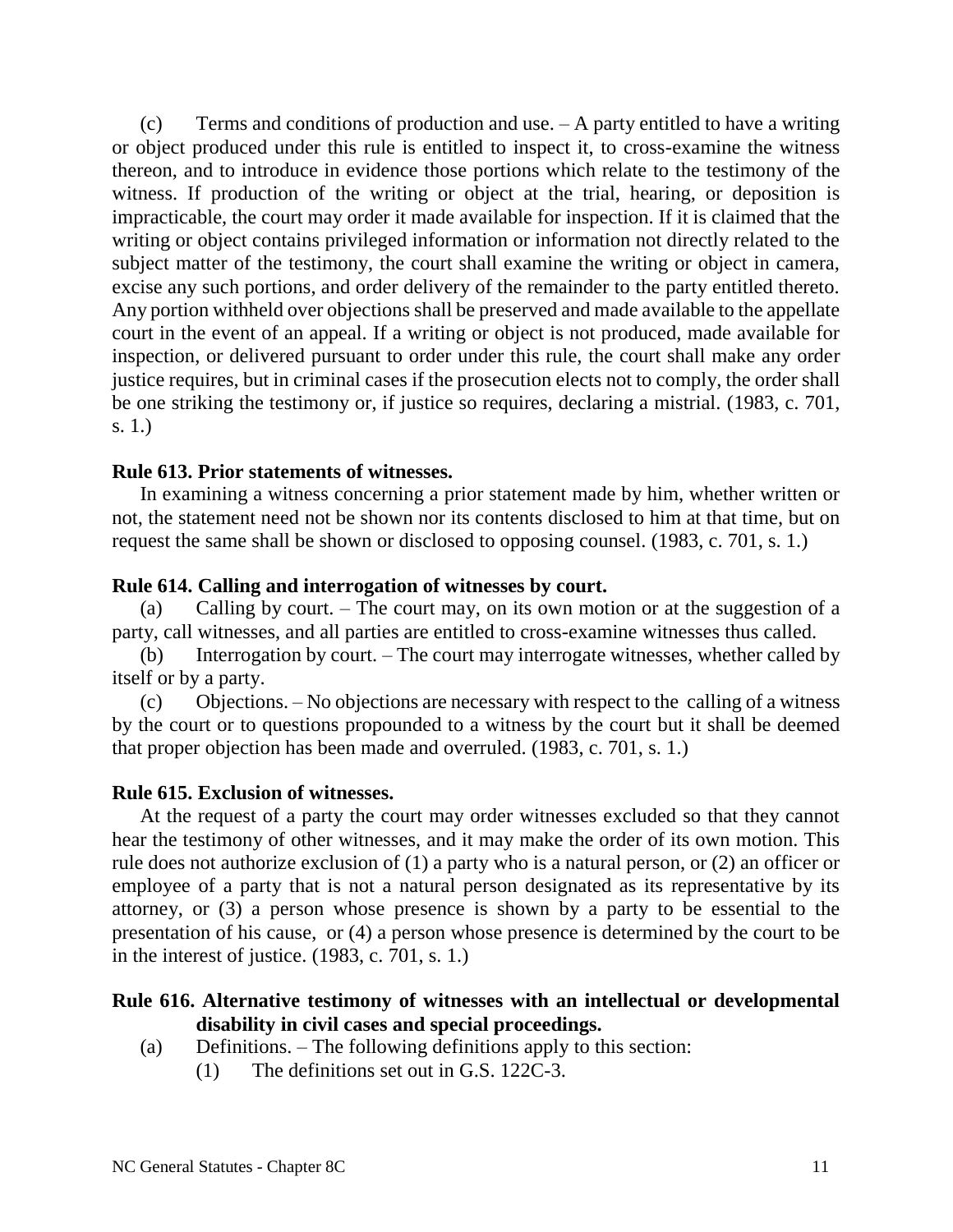$(c)$  Terms and conditions of production and use.  $-A$  party entitled to have a writing or object produced under this rule is entitled to inspect it, to cross-examine the witness thereon, and to introduce in evidence those portions which relate to the testimony of the witness. If production of the writing or object at the trial, hearing, or deposition is impracticable, the court may order it made available for inspection. If it is claimed that the writing or object contains privileged information or information not directly related to the subject matter of the testimony, the court shall examine the writing or object in camera, excise any such portions, and order delivery of the remainder to the party entitled thereto. Any portion withheld over objections shall be preserved and made available to the appellate court in the event of an appeal. If a writing or object is not produced, made available for inspection, or delivered pursuant to order under this rule, the court shall make any order justice requires, but in criminal cases if the prosecution elects not to comply, the order shall be one striking the testimony or, if justice so requires, declaring a mistrial. (1983, c. 701, s. 1.)

# **Rule 613. Prior statements of witnesses.**

In examining a witness concerning a prior statement made by him, whether written or not, the statement need not be shown nor its contents disclosed to him at that time, but on request the same shall be shown or disclosed to opposing counsel. (1983, c. 701, s. 1.)

## **Rule 614. Calling and interrogation of witnesses by court.**

(a) Calling by court. – The court may, on its own motion or at the suggestion of a party, call witnesses, and all parties are entitled to cross-examine witnesses thus called.

(b) Interrogation by court. – The court may interrogate witnesses, whether called by itself or by a party.

(c) Objections. – No objections are necessary with respect to the calling of a witness by the court or to questions propounded to a witness by the court but it shall be deemed that proper objection has been made and overruled. (1983, c. 701, s. 1.)

# **Rule 615. Exclusion of witnesses.**

At the request of a party the court may order witnesses excluded so that they cannot hear the testimony of other witnesses, and it may make the order of its own motion. This rule does not authorize exclusion of (1) a party who is a natural person, or (2) an officer or employee of a party that is not a natural person designated as its representative by its attorney, or (3) a person whose presence is shown by a party to be essential to the presentation of his cause, or (4) a person whose presence is determined by the court to be in the interest of justice. (1983, c. 701, s. 1.)

# **Rule 616. Alternative testimony of witnesses with an intellectual or developmental disability in civil cases and special proceedings.**

- (a) Definitions. The following definitions apply to this section:
	- (1) The definitions set out in G.S. 122C-3.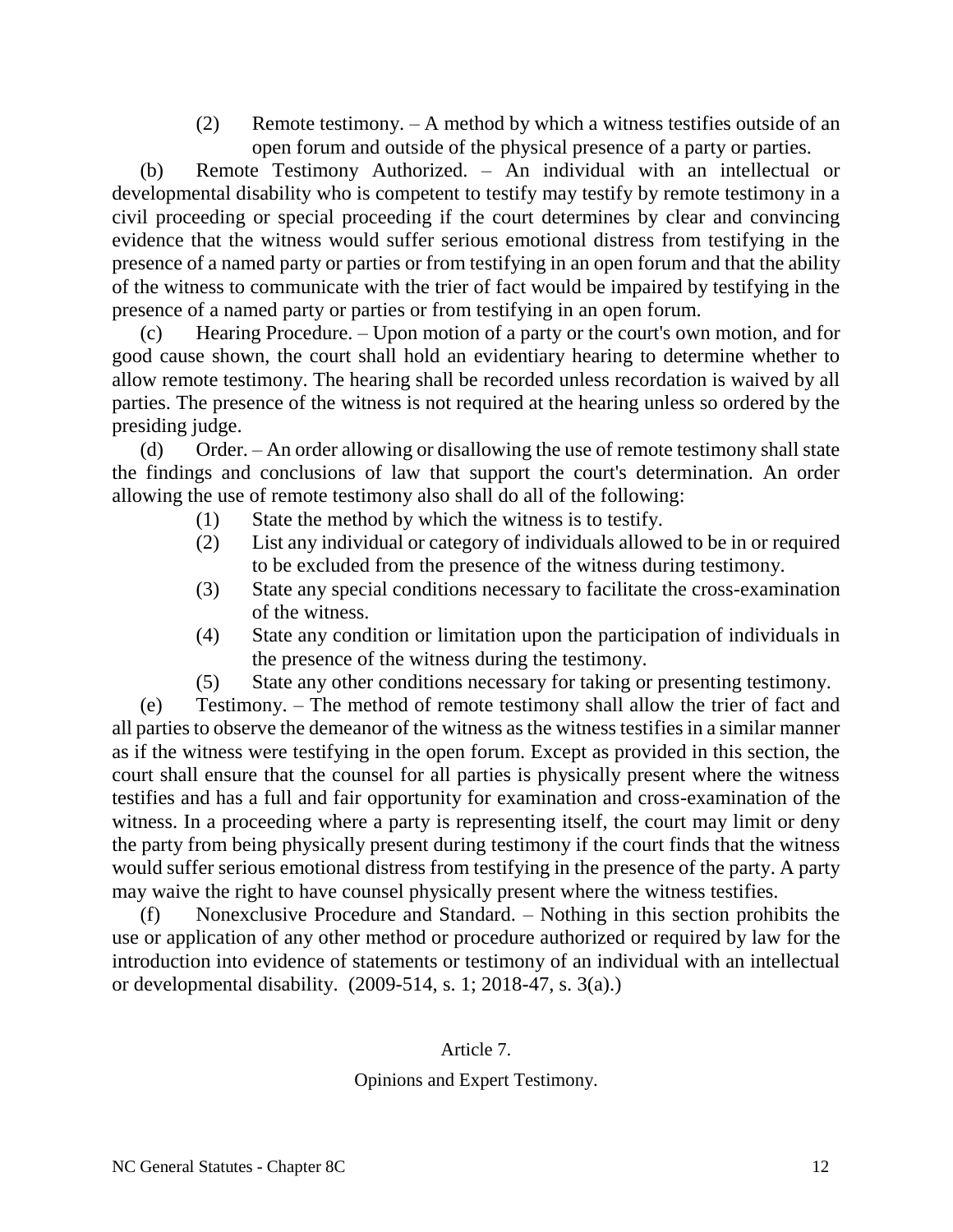(2) Remote testimony. – A method by which a witness testifies outside of an open forum and outside of the physical presence of a party or parties.

(b) Remote Testimony Authorized. – An individual with an intellectual or developmental disability who is competent to testify may testify by remote testimony in a civil proceeding or special proceeding if the court determines by clear and convincing evidence that the witness would suffer serious emotional distress from testifying in the presence of a named party or parties or from testifying in an open forum and that the ability of the witness to communicate with the trier of fact would be impaired by testifying in the presence of a named party or parties or from testifying in an open forum.

(c) Hearing Procedure. – Upon motion of a party or the court's own motion, and for good cause shown, the court shall hold an evidentiary hearing to determine whether to allow remote testimony. The hearing shall be recorded unless recordation is waived by all parties. The presence of the witness is not required at the hearing unless so ordered by the presiding judge.

(d) Order. – An order allowing or disallowing the use of remote testimony shall state the findings and conclusions of law that support the court's determination. An order allowing the use of remote testimony also shall do all of the following:

- (1) State the method by which the witness is to testify.
- (2) List any individual or category of individuals allowed to be in or required to be excluded from the presence of the witness during testimony.
- (3) State any special conditions necessary to facilitate the cross-examination of the witness.
- (4) State any condition or limitation upon the participation of individuals in the presence of the witness during the testimony.
- (5) State any other conditions necessary for taking or presenting testimony.

(e) Testimony. – The method of remote testimony shall allow the trier of fact and all parties to observe the demeanor of the witness as the witness testifies in a similar manner as if the witness were testifying in the open forum. Except as provided in this section, the court shall ensure that the counsel for all parties is physically present where the witness testifies and has a full and fair opportunity for examination and cross-examination of the witness. In a proceeding where a party is representing itself, the court may limit or deny the party from being physically present during testimony if the court finds that the witness would suffer serious emotional distress from testifying in the presence of the party. A party may waive the right to have counsel physically present where the witness testifies.

(f) Nonexclusive Procedure and Standard. – Nothing in this section prohibits the use or application of any other method or procedure authorized or required by law for the introduction into evidence of statements or testimony of an individual with an intellectual or developmental disability. (2009-514, s. 1; 2018-47, s. 3(a).)

# Article 7.

# Opinions and Expert Testimony.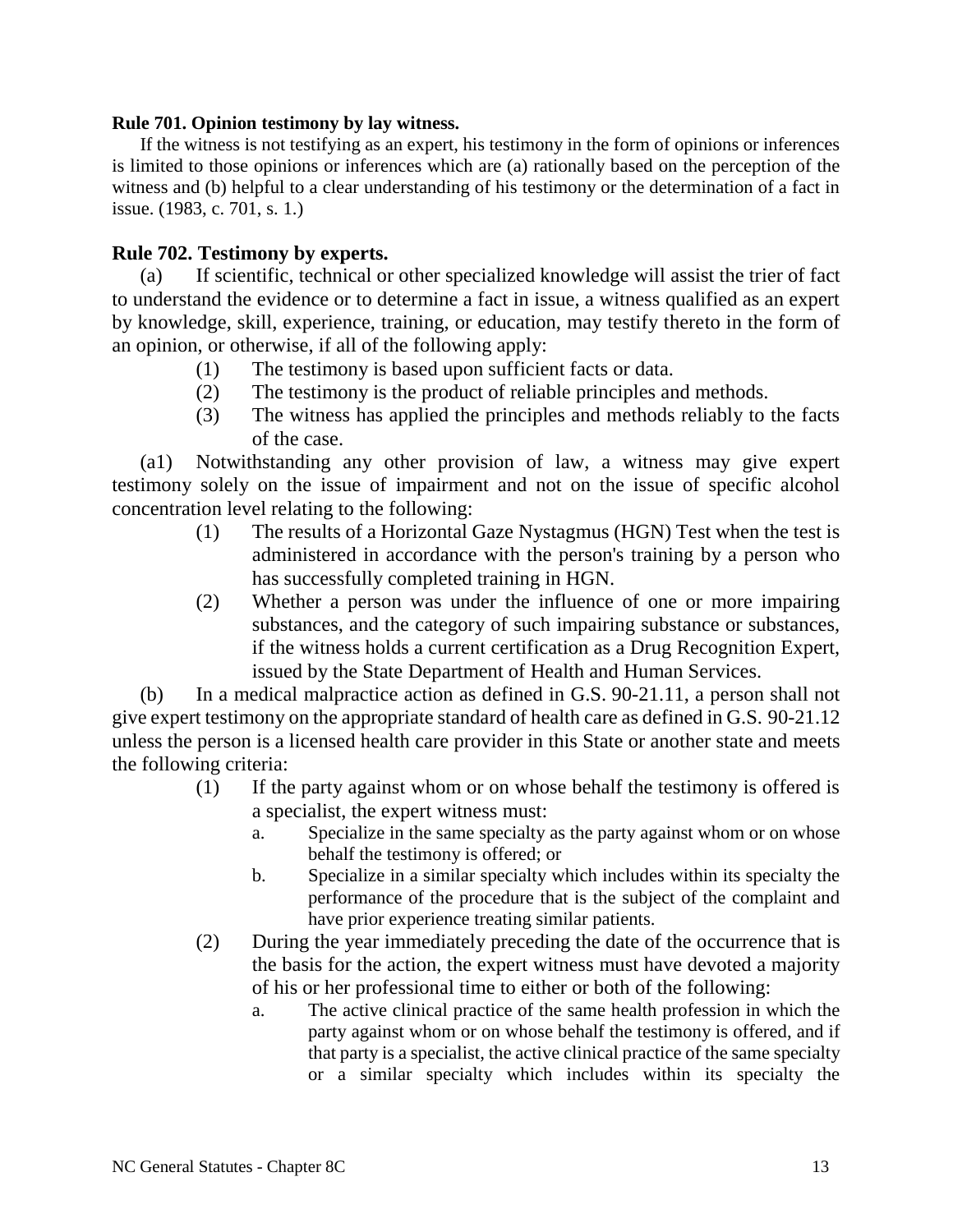## **Rule 701. Opinion testimony by lay witness.**

If the witness is not testifying as an expert, his testimony in the form of opinions or inferences is limited to those opinions or inferences which are (a) rationally based on the perception of the witness and (b) helpful to a clear understanding of his testimony or the determination of a fact in issue. (1983, c. 701, s. 1.)

# **Rule 702. Testimony by experts.**

(a) If scientific, technical or other specialized knowledge will assist the trier of fact to understand the evidence or to determine a fact in issue, a witness qualified as an expert by knowledge, skill, experience, training, or education, may testify thereto in the form of an opinion, or otherwise, if all of the following apply:

- (1) The testimony is based upon sufficient facts or data.
- (2) The testimony is the product of reliable principles and methods.
- (3) The witness has applied the principles and methods reliably to the facts of the case.

(a1) Notwithstanding any other provision of law, a witness may give expert testimony solely on the issue of impairment and not on the issue of specific alcohol concentration level relating to the following:

- (1) The results of a Horizontal Gaze Nystagmus (HGN) Test when the test is administered in accordance with the person's training by a person who has successfully completed training in HGN.
- (2) Whether a person was under the influence of one or more impairing substances, and the category of such impairing substance or substances, if the witness holds a current certification as a Drug Recognition Expert, issued by the State Department of Health and Human Services.

(b) In a medical malpractice action as defined in G.S. 90-21.11, a person shall not give expert testimony on the appropriate standard of health care as defined in G.S. 90-21.12 unless the person is a licensed health care provider in this State or another state and meets the following criteria:

- (1) If the party against whom or on whose behalf the testimony is offered is a specialist, the expert witness must:
	- a. Specialize in the same specialty as the party against whom or on whose behalf the testimony is offered; or
	- b. Specialize in a similar specialty which includes within its specialty the performance of the procedure that is the subject of the complaint and have prior experience treating similar patients.
- (2) During the year immediately preceding the date of the occurrence that is the basis for the action, the expert witness must have devoted a majority of his or her professional time to either or both of the following:
	- a. The active clinical practice of the same health profession in which the party against whom or on whose behalf the testimony is offered, and if that party is a specialist, the active clinical practice of the same specialty or a similar specialty which includes within its specialty the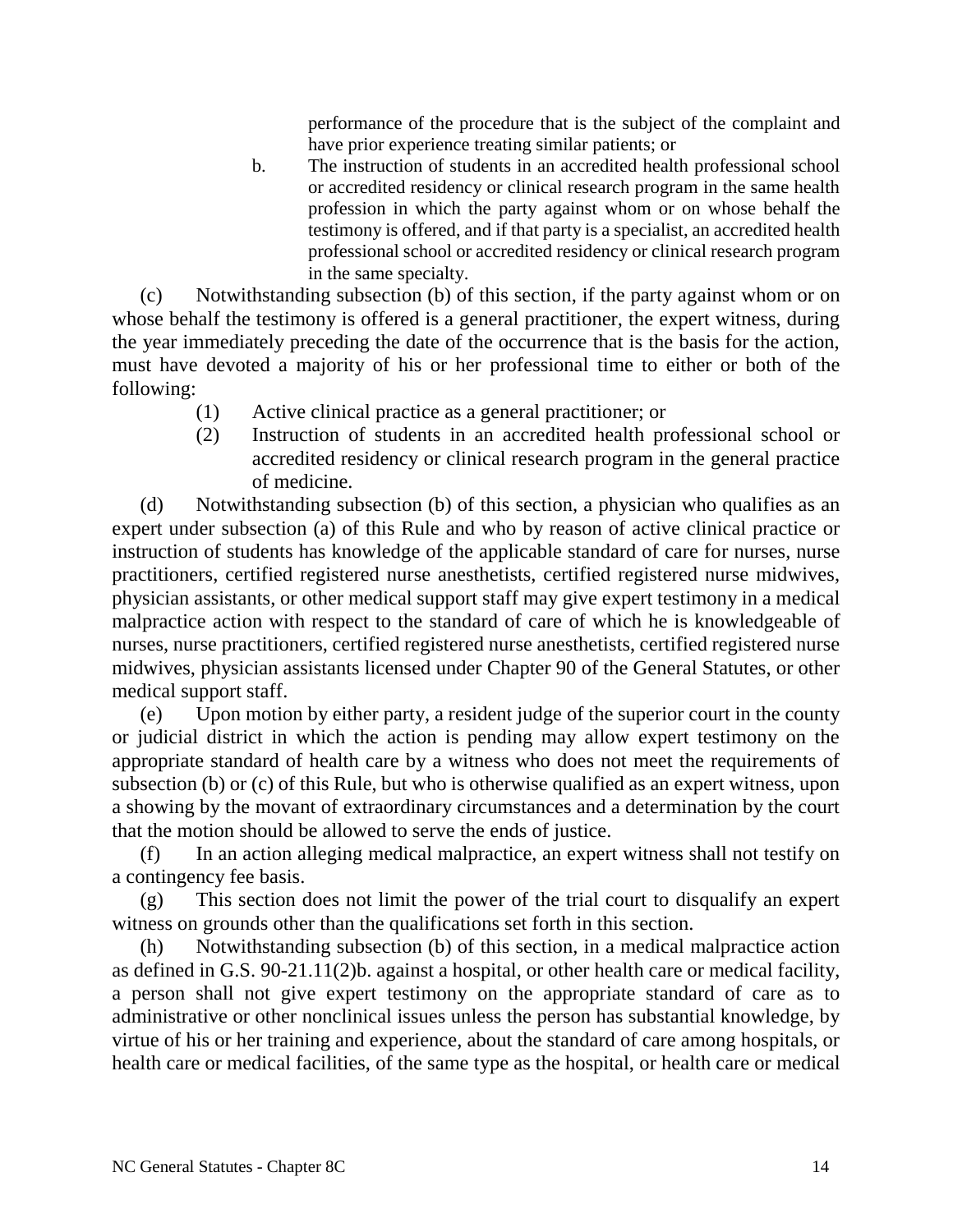performance of the procedure that is the subject of the complaint and have prior experience treating similar patients; or

b. The instruction of students in an accredited health professional school or accredited residency or clinical research program in the same health profession in which the party against whom or on whose behalf the testimony is offered, and if that party is a specialist, an accredited health professional school or accredited residency or clinical research program in the same specialty.

(c) Notwithstanding subsection (b) of this section, if the party against whom or on whose behalf the testimony is offered is a general practitioner, the expert witness, during the year immediately preceding the date of the occurrence that is the basis for the action, must have devoted a majority of his or her professional time to either or both of the following:

- (1) Active clinical practice as a general practitioner; or
- (2) Instruction of students in an accredited health professional school or accredited residency or clinical research program in the general practice of medicine.

(d) Notwithstanding subsection (b) of this section, a physician who qualifies as an expert under subsection (a) of this Rule and who by reason of active clinical practice or instruction of students has knowledge of the applicable standard of care for nurses, nurse practitioners, certified registered nurse anesthetists, certified registered nurse midwives, physician assistants, or other medical support staff may give expert testimony in a medical malpractice action with respect to the standard of care of which he is knowledgeable of nurses, nurse practitioners, certified registered nurse anesthetists, certified registered nurse midwives, physician assistants licensed under Chapter 90 of the General Statutes, or other medical support staff.

(e) Upon motion by either party, a resident judge of the superior court in the county or judicial district in which the action is pending may allow expert testimony on the appropriate standard of health care by a witness who does not meet the requirements of subsection (b) or (c) of this Rule, but who is otherwise qualified as an expert witness, upon a showing by the movant of extraordinary circumstances and a determination by the court that the motion should be allowed to serve the ends of justice.

(f) In an action alleging medical malpractice, an expert witness shall not testify on a contingency fee basis.

(g) This section does not limit the power of the trial court to disqualify an expert witness on grounds other than the qualifications set forth in this section.

(h) Notwithstanding subsection (b) of this section, in a medical malpractice action as defined in G.S. 90-21.11(2)b. against a hospital, or other health care or medical facility, a person shall not give expert testimony on the appropriate standard of care as to administrative or other nonclinical issues unless the person has substantial knowledge, by virtue of his or her training and experience, about the standard of care among hospitals, or health care or medical facilities, of the same type as the hospital, or health care or medical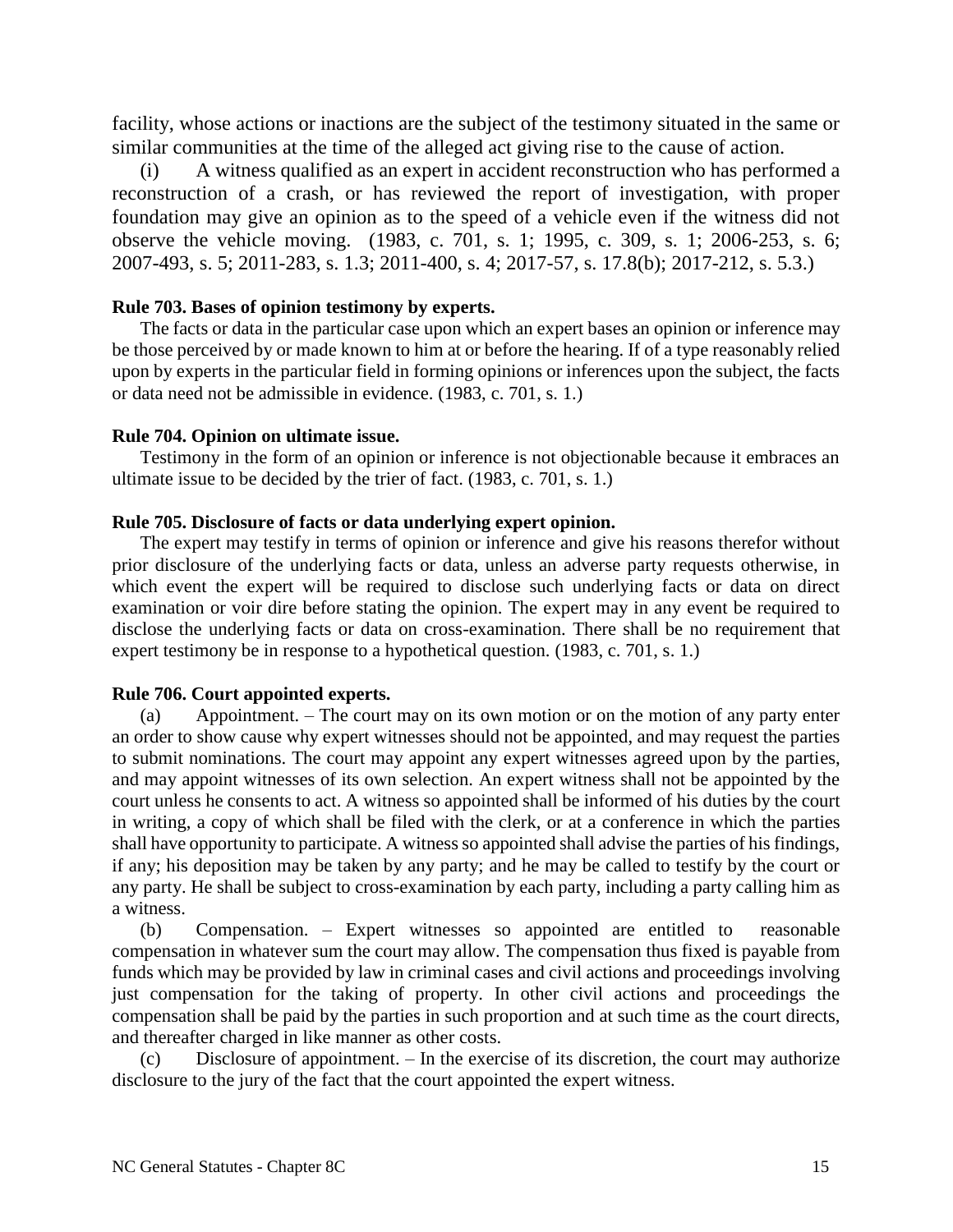facility, whose actions or inactions are the subject of the testimony situated in the same or similar communities at the time of the alleged act giving rise to the cause of action.

(i) A witness qualified as an expert in accident reconstruction who has performed a reconstruction of a crash, or has reviewed the report of investigation, with proper foundation may give an opinion as to the speed of a vehicle even if the witness did not observe the vehicle moving. (1983, c. 701, s. 1; 1995, c. 309, s. 1; 2006-253, s. 6; 2007-493, s. 5; 2011-283, s. 1.3; 2011-400, s. 4; 2017-57, s. 17.8(b); 2017-212, s. 5.3.)

## **Rule 703. Bases of opinion testimony by experts.**

The facts or data in the particular case upon which an expert bases an opinion or inference may be those perceived by or made known to him at or before the hearing. If of a type reasonably relied upon by experts in the particular field in forming opinions or inferences upon the subject, the facts or data need not be admissible in evidence. (1983, c. 701, s. 1.)

## **Rule 704. Opinion on ultimate issue.**

Testimony in the form of an opinion or inference is not objectionable because it embraces an ultimate issue to be decided by the trier of fact. (1983, c. 701, s. 1.)

## **Rule 705. Disclosure of facts or data underlying expert opinion.**

The expert may testify in terms of opinion or inference and give his reasons therefor without prior disclosure of the underlying facts or data, unless an adverse party requests otherwise, in which event the expert will be required to disclose such underlying facts or data on direct examination or voir dire before stating the opinion. The expert may in any event be required to disclose the underlying facts or data on cross-examination. There shall be no requirement that expert testimony be in response to a hypothetical question. (1983, c. 701, s. 1.)

## **Rule 706. Court appointed experts.**

(a) Appointment. – The court may on its own motion or on the motion of any party enter an order to show cause why expert witnesses should not be appointed, and may request the parties to submit nominations. The court may appoint any expert witnesses agreed upon by the parties, and may appoint witnesses of its own selection. An expert witness shall not be appointed by the court unless he consents to act. A witness so appointed shall be informed of his duties by the court in writing, a copy of which shall be filed with the clerk, or at a conference in which the parties shall have opportunity to participate. A witness so appointed shall advise the parties of his findings, if any; his deposition may be taken by any party; and he may be called to testify by the court or any party. He shall be subject to cross-examination by each party, including a party calling him as a witness.

(b) Compensation. – Expert witnesses so appointed are entitled to reasonable compensation in whatever sum the court may allow. The compensation thus fixed is payable from funds which may be provided by law in criminal cases and civil actions and proceedings involving just compensation for the taking of property. In other civil actions and proceedings the compensation shall be paid by the parties in such proportion and at such time as the court directs, and thereafter charged in like manner as other costs.

(c) Disclosure of appointment. – In the exercise of its discretion, the court may authorize disclosure to the jury of the fact that the court appointed the expert witness.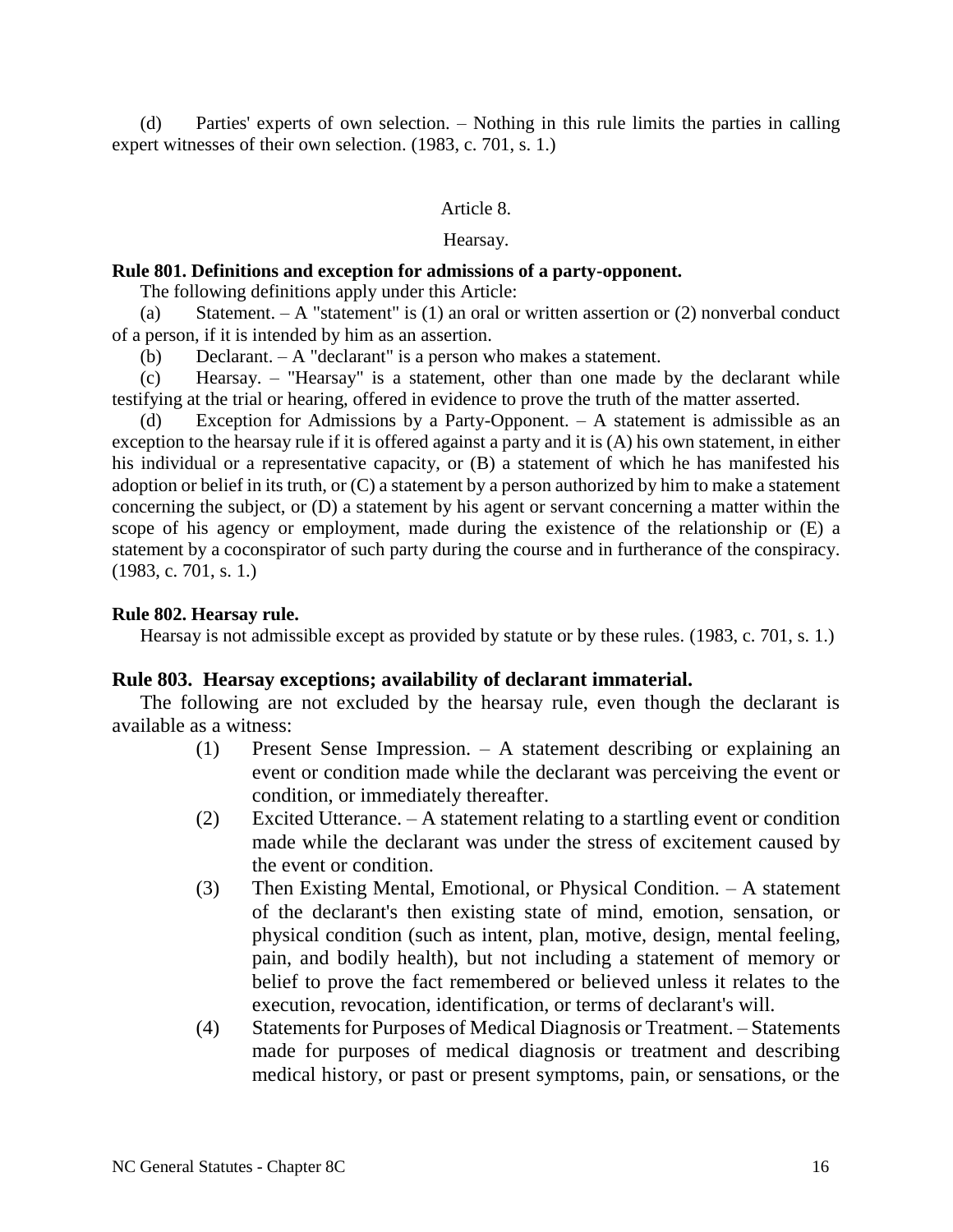(d) Parties' experts of own selection. – Nothing in this rule limits the parties in calling expert witnesses of their own selection. (1983, c. 701, s. 1.)

## Article 8.

### Hearsay.

## **Rule 801. Definitions and exception for admissions of a party-opponent.**

The following definitions apply under this Article:

(a) Statement. – A "statement" is  $(1)$  an oral or written assertion or  $(2)$  nonverbal conduct of a person, if it is intended by him as an assertion.

(b) Declarant. – A "declarant" is a person who makes a statement.

(c) Hearsay. – "Hearsay" is a statement, other than one made by the declarant while testifying at the trial or hearing, offered in evidence to prove the truth of the matter asserted.

(d) Exception for Admissions by a Party-Opponent. – A statement is admissible as an exception to the hearsay rule if it is offered against a party and it is (A) his own statement, in either his individual or a representative capacity, or (B) a statement of which he has manifested his adoption or belief in its truth, or (C) a statement by a person authorized by him to make a statement concerning the subject, or (D) a statement by his agent or servant concerning a matter within the scope of his agency or employment, made during the existence of the relationship or (E) a statement by a coconspirator of such party during the course and in furtherance of the conspiracy. (1983, c. 701, s. 1.)

## **Rule 802. Hearsay rule.**

Hearsay is not admissible except as provided by statute or by these rules. (1983, c. 701, s. 1.)

# **Rule 803. Hearsay exceptions; availability of declarant immaterial.**

The following are not excluded by the hearsay rule, even though the declarant is available as a witness:

- (1) Present Sense Impression. A statement describing or explaining an event or condition made while the declarant was perceiving the event or condition, or immediately thereafter.
- (2) Excited Utterance. A statement relating to a startling event or condition made while the declarant was under the stress of excitement caused by the event or condition.
- (3) Then Existing Mental, Emotional, or Physical Condition. A statement of the declarant's then existing state of mind, emotion, sensation, or physical condition (such as intent, plan, motive, design, mental feeling, pain, and bodily health), but not including a statement of memory or belief to prove the fact remembered or believed unless it relates to the execution, revocation, identification, or terms of declarant's will.
- (4) Statements for Purposes of Medical Diagnosis or Treatment. Statements made for purposes of medical diagnosis or treatment and describing medical history, or past or present symptoms, pain, or sensations, or the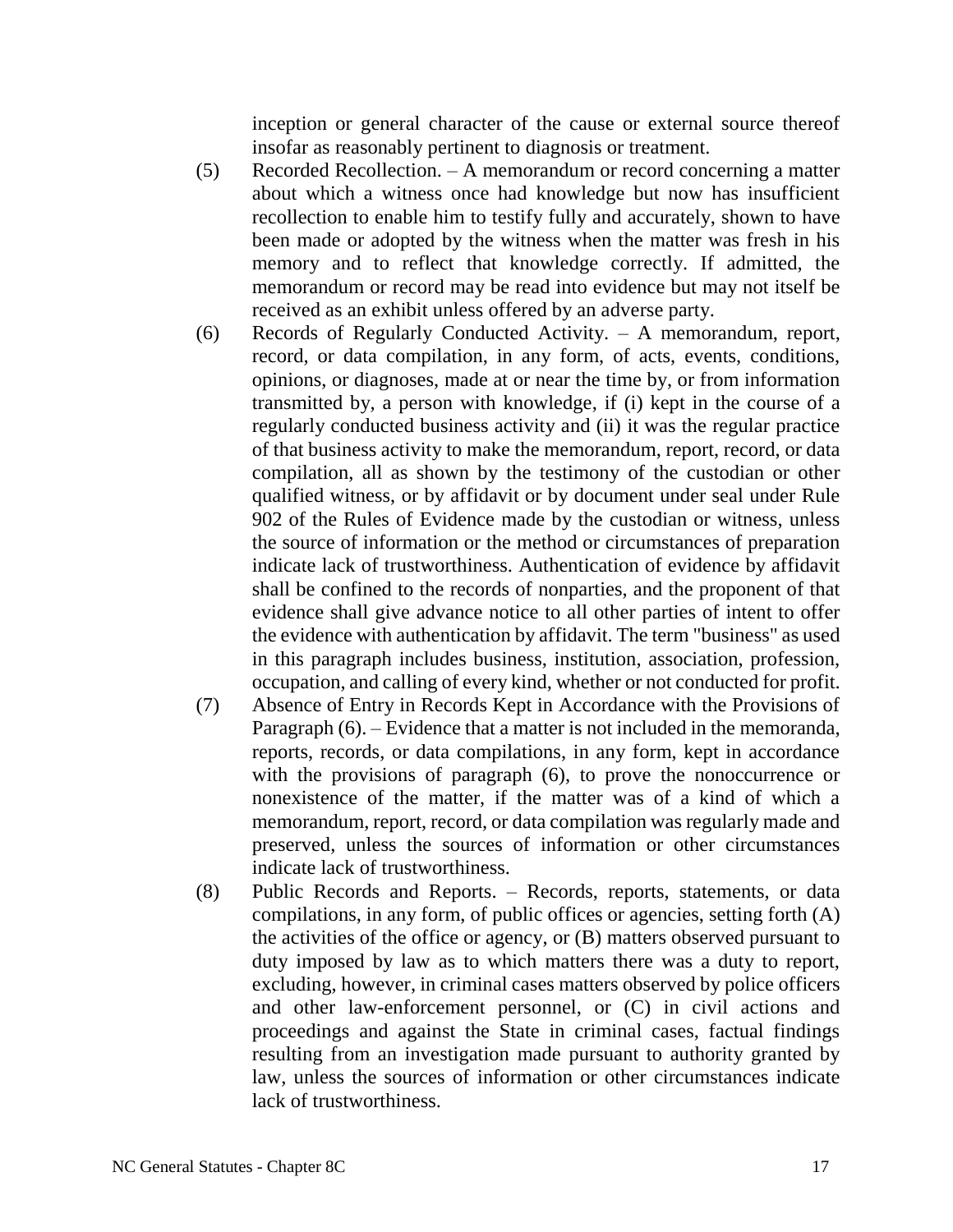inception or general character of the cause or external source thereof insofar as reasonably pertinent to diagnosis or treatment.

- (5) Recorded Recollection. A memorandum or record concerning a matter about which a witness once had knowledge but now has insufficient recollection to enable him to testify fully and accurately, shown to have been made or adopted by the witness when the matter was fresh in his memory and to reflect that knowledge correctly. If admitted, the memorandum or record may be read into evidence but may not itself be received as an exhibit unless offered by an adverse party.
- (6) Records of Regularly Conducted Activity. A memorandum, report, record, or data compilation, in any form, of acts, events, conditions, opinions, or diagnoses, made at or near the time by, or from information transmitted by, a person with knowledge, if (i) kept in the course of a regularly conducted business activity and (ii) it was the regular practice of that business activity to make the memorandum, report, record, or data compilation, all as shown by the testimony of the custodian or other qualified witness, or by affidavit or by document under seal under Rule 902 of the Rules of Evidence made by the custodian or witness, unless the source of information or the method or circumstances of preparation indicate lack of trustworthiness. Authentication of evidence by affidavit shall be confined to the records of nonparties, and the proponent of that evidence shall give advance notice to all other parties of intent to offer the evidence with authentication by affidavit. The term "business" as used in this paragraph includes business, institution, association, profession, occupation, and calling of every kind, whether or not conducted for profit.
- (7) Absence of Entry in Records Kept in Accordance with the Provisions of Paragraph (6). – Evidence that a matter is not included in the memoranda, reports, records, or data compilations, in any form, kept in accordance with the provisions of paragraph (6), to prove the nonoccurrence or nonexistence of the matter, if the matter was of a kind of which a memorandum, report, record, or data compilation was regularly made and preserved, unless the sources of information or other circumstances indicate lack of trustworthiness.
- (8) Public Records and Reports. Records, reports, statements, or data compilations, in any form, of public offices or agencies, setting forth (A) the activities of the office or agency, or (B) matters observed pursuant to duty imposed by law as to which matters there was a duty to report, excluding, however, in criminal cases matters observed by police officers and other law-enforcement personnel, or (C) in civil actions and proceedings and against the State in criminal cases, factual findings resulting from an investigation made pursuant to authority granted by law, unless the sources of information or other circumstances indicate lack of trustworthiness.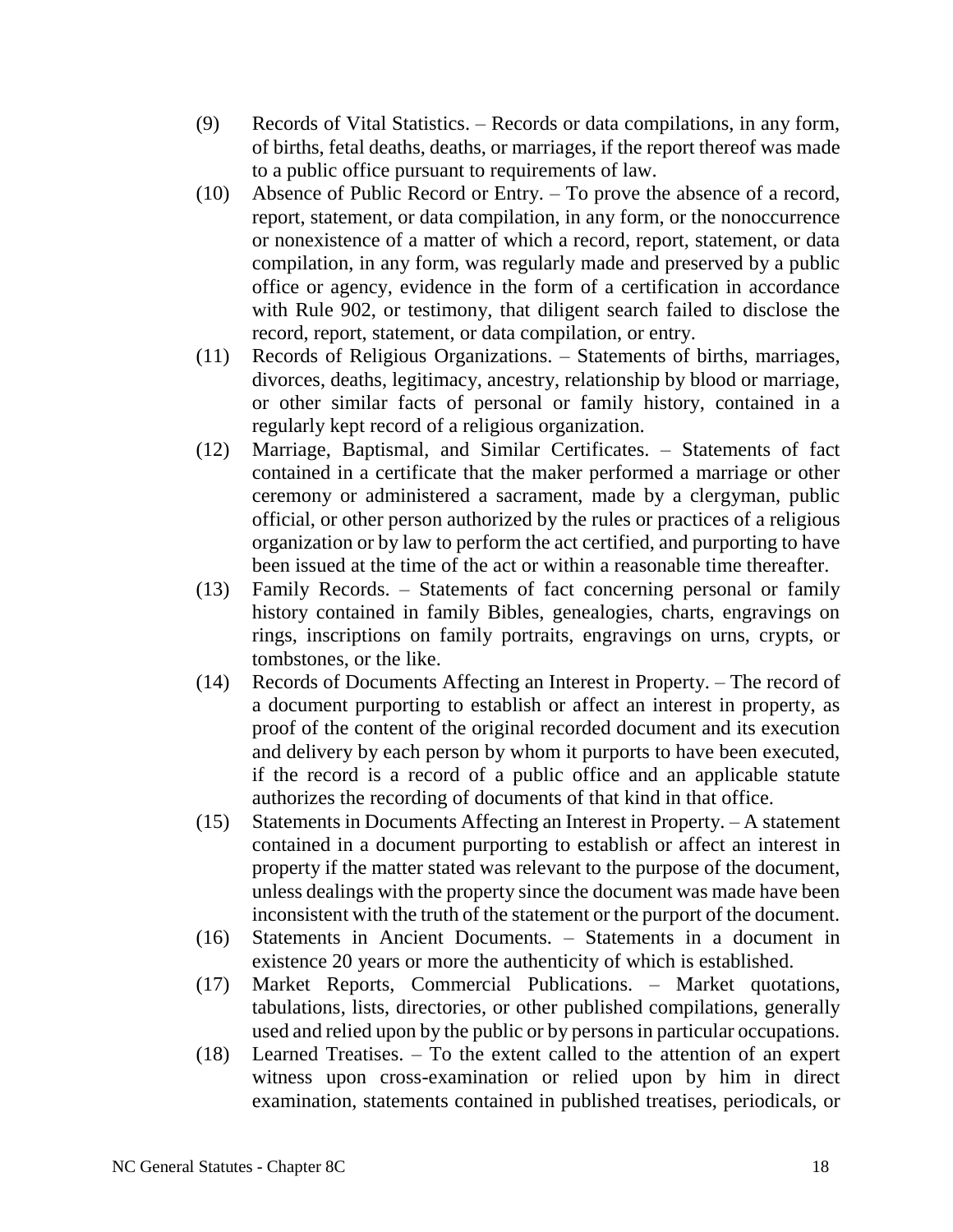- (9) Records of Vital Statistics. Records or data compilations, in any form, of births, fetal deaths, deaths, or marriages, if the report thereof was made to a public office pursuant to requirements of law.
- (10) Absence of Public Record or Entry. To prove the absence of a record, report, statement, or data compilation, in any form, or the nonoccurrence or nonexistence of a matter of which a record, report, statement, or data compilation, in any form, was regularly made and preserved by a public office or agency, evidence in the form of a certification in accordance with Rule 902, or testimony, that diligent search failed to disclose the record, report, statement, or data compilation, or entry.
- (11) Records of Religious Organizations. Statements of births, marriages, divorces, deaths, legitimacy, ancestry, relationship by blood or marriage, or other similar facts of personal or family history, contained in a regularly kept record of a religious organization.
- (12) Marriage, Baptismal, and Similar Certificates. Statements of fact contained in a certificate that the maker performed a marriage or other ceremony or administered a sacrament, made by a clergyman, public official, or other person authorized by the rules or practices of a religious organization or by law to perform the act certified, and purporting to have been issued at the time of the act or within a reasonable time thereafter.
- (13) Family Records. Statements of fact concerning personal or family history contained in family Bibles, genealogies, charts, engravings on rings, inscriptions on family portraits, engravings on urns, crypts, or tombstones, or the like.
- (14) Records of Documents Affecting an Interest in Property. The record of a document purporting to establish or affect an interest in property, as proof of the content of the original recorded document and its execution and delivery by each person by whom it purports to have been executed, if the record is a record of a public office and an applicable statute authorizes the recording of documents of that kind in that office.
- (15) Statements in Documents Affecting an Interest in Property. A statement contained in a document purporting to establish or affect an interest in property if the matter stated was relevant to the purpose of the document, unless dealings with the property since the document was made have been inconsistent with the truth of the statement or the purport of the document.
- (16) Statements in Ancient Documents. Statements in a document in existence 20 years or more the authenticity of which is established.
- (17) Market Reports, Commercial Publications. Market quotations, tabulations, lists, directories, or other published compilations, generally used and relied upon by the public or by persons in particular occupations.
- (18) Learned Treatises. To the extent called to the attention of an expert witness upon cross-examination or relied upon by him in direct examination, statements contained in published treatises, periodicals, or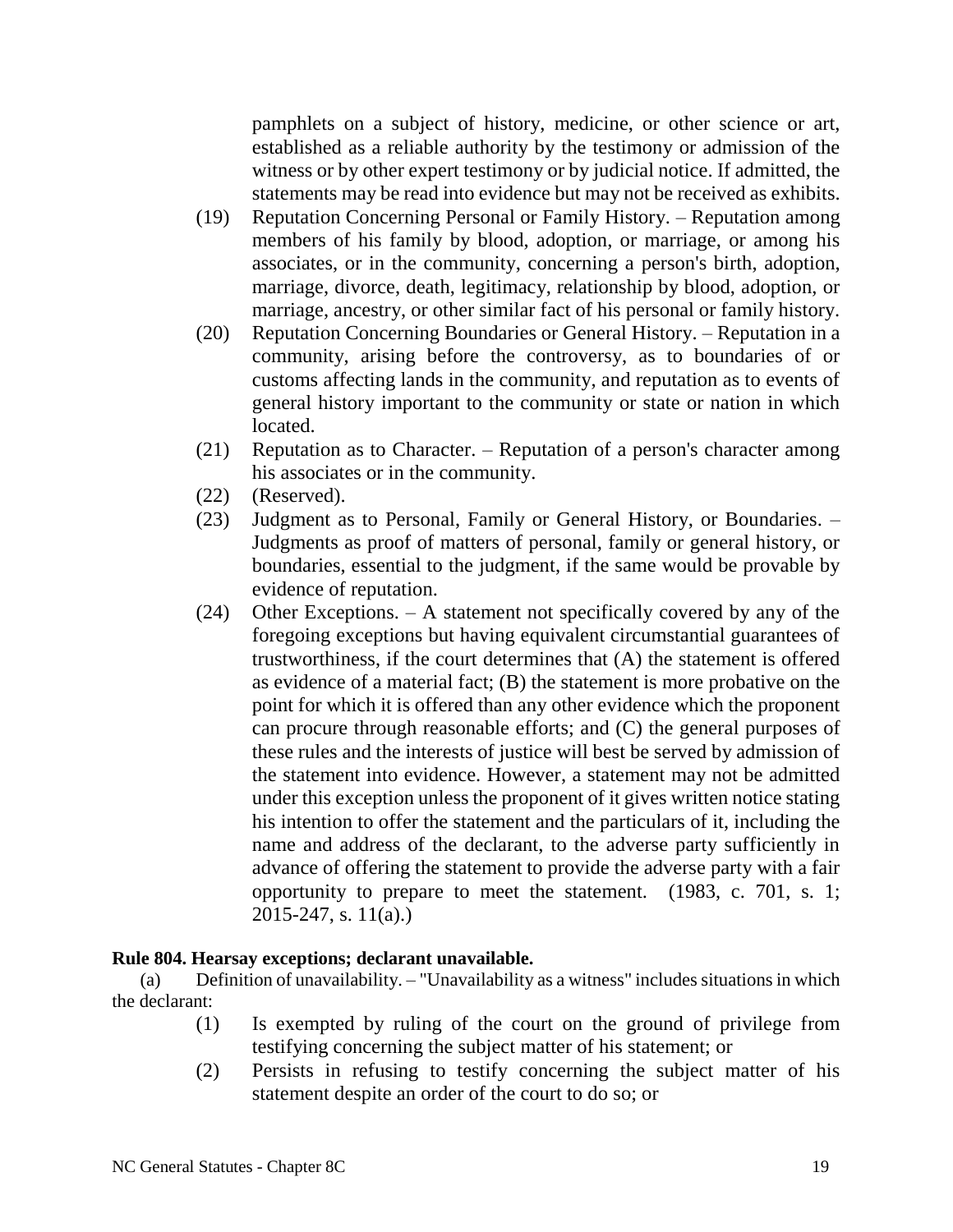pamphlets on a subject of history, medicine, or other science or art, established as a reliable authority by the testimony or admission of the witness or by other expert testimony or by judicial notice. If admitted, the statements may be read into evidence but may not be received as exhibits.

- (19) Reputation Concerning Personal or Family History. Reputation among members of his family by blood, adoption, or marriage, or among his associates, or in the community, concerning a person's birth, adoption, marriage, divorce, death, legitimacy, relationship by blood, adoption, or marriage, ancestry, or other similar fact of his personal or family history.
- (20) Reputation Concerning Boundaries or General History. Reputation in a community, arising before the controversy, as to boundaries of or customs affecting lands in the community, and reputation as to events of general history important to the community or state or nation in which located.
- (21) Reputation as to Character. Reputation of a person's character among his associates or in the community.
- (22) (Reserved).
- (23) Judgment as to Personal, Family or General History, or Boundaries. Judgments as proof of matters of personal, family or general history, or boundaries, essential to the judgment, if the same would be provable by evidence of reputation.
- (24) Other Exceptions. A statement not specifically covered by any of the foregoing exceptions but having equivalent circumstantial guarantees of trustworthiness, if the court determines that (A) the statement is offered as evidence of a material fact; (B) the statement is more probative on the point for which it is offered than any other evidence which the proponent can procure through reasonable efforts; and (C) the general purposes of these rules and the interests of justice will best be served by admission of the statement into evidence. However, a statement may not be admitted under this exception unless the proponent of it gives written notice stating his intention to offer the statement and the particulars of it, including the name and address of the declarant, to the adverse party sufficiently in advance of offering the statement to provide the adverse party with a fair opportunity to prepare to meet the statement. (1983, c. 701, s. 1; 2015-247, s. 11(a).)

## **Rule 804. Hearsay exceptions; declarant unavailable.**

(a) Definition of unavailability. – "Unavailability as a witness" includes situations in which the declarant:

- (1) Is exempted by ruling of the court on the ground of privilege from testifying concerning the subject matter of his statement; or
- (2) Persists in refusing to testify concerning the subject matter of his statement despite an order of the court to do so; or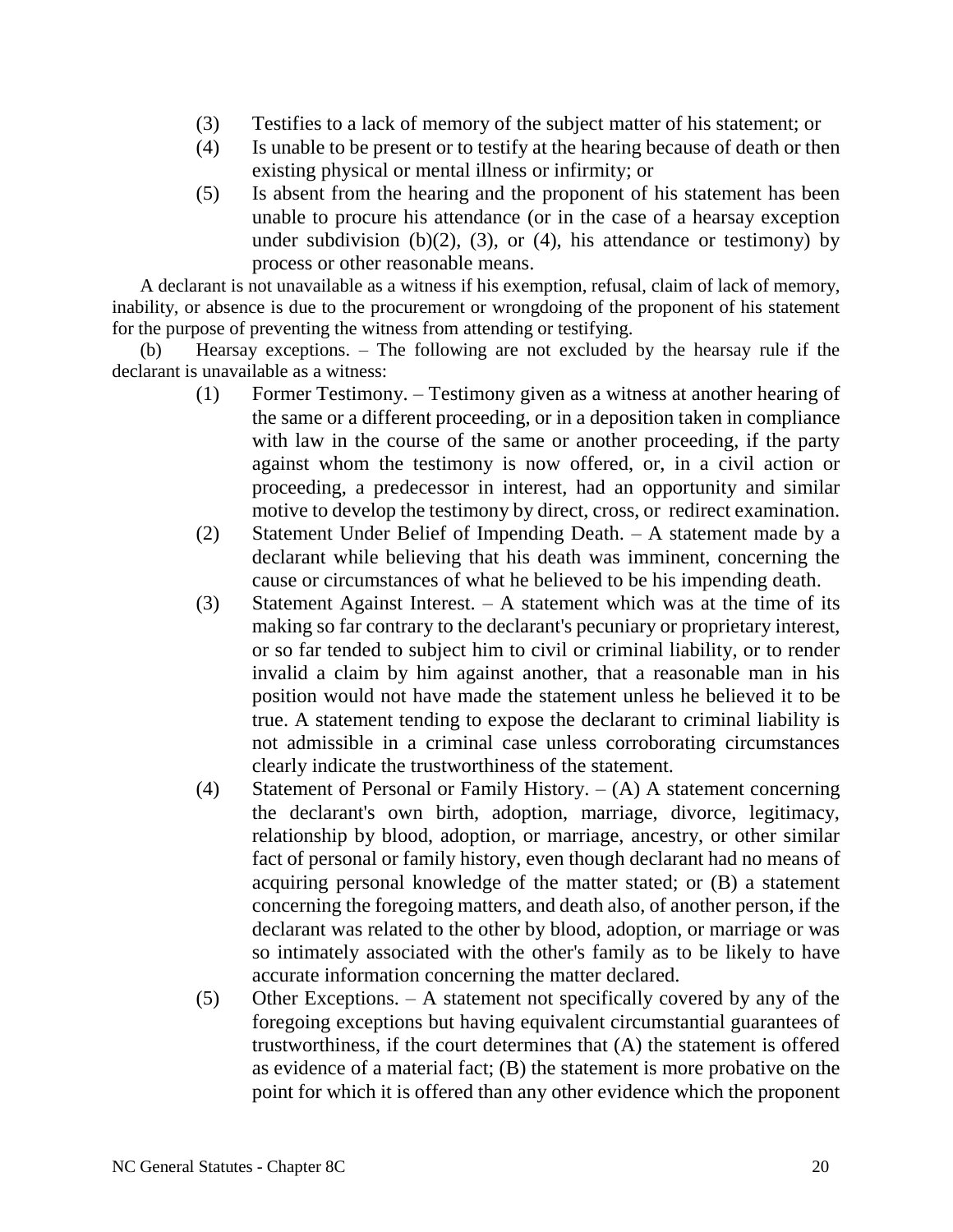- (3) Testifies to a lack of memory of the subject matter of his statement; or
- (4) Is unable to be present or to testify at the hearing because of death or then existing physical or mental illness or infirmity; or
- (5) Is absent from the hearing and the proponent of his statement has been unable to procure his attendance (or in the case of a hearsay exception under subdivision  $(b)(2)$ ,  $(3)$ , or  $(4)$ , his attendance or testimony) by process or other reasonable means.

A declarant is not unavailable as a witness if his exemption, refusal, claim of lack of memory, inability, or absence is due to the procurement or wrongdoing of the proponent of his statement for the purpose of preventing the witness from attending or testifying.

(b) Hearsay exceptions. – The following are not excluded by the hearsay rule if the declarant is unavailable as a witness:

- (1) Former Testimony. Testimony given as a witness at another hearing of the same or a different proceeding, or in a deposition taken in compliance with law in the course of the same or another proceeding, if the party against whom the testimony is now offered, or, in a civil action or proceeding, a predecessor in interest, had an opportunity and similar motive to develop the testimony by direct, cross, or redirect examination.
- (2) Statement Under Belief of Impending Death. A statement made by a declarant while believing that his death was imminent, concerning the cause or circumstances of what he believed to be his impending death.
- (3) Statement Against Interest. A statement which was at the time of its making so far contrary to the declarant's pecuniary or proprietary interest, or so far tended to subject him to civil or criminal liability, or to render invalid a claim by him against another, that a reasonable man in his position would not have made the statement unless he believed it to be true. A statement tending to expose the declarant to criminal liability is not admissible in a criminal case unless corroborating circumstances clearly indicate the trustworthiness of the statement.
- (4) Statement of Personal or Family History.  $(A)$  A statement concerning the declarant's own birth, adoption, marriage, divorce, legitimacy, relationship by blood, adoption, or marriage, ancestry, or other similar fact of personal or family history, even though declarant had no means of acquiring personal knowledge of the matter stated; or (B) a statement concerning the foregoing matters, and death also, of another person, if the declarant was related to the other by blood, adoption, or marriage or was so intimately associated with the other's family as to be likely to have accurate information concerning the matter declared.
- (5) Other Exceptions. A statement not specifically covered by any of the foregoing exceptions but having equivalent circumstantial guarantees of trustworthiness, if the court determines that (A) the statement is offered as evidence of a material fact; (B) the statement is more probative on the point for which it is offered than any other evidence which the proponent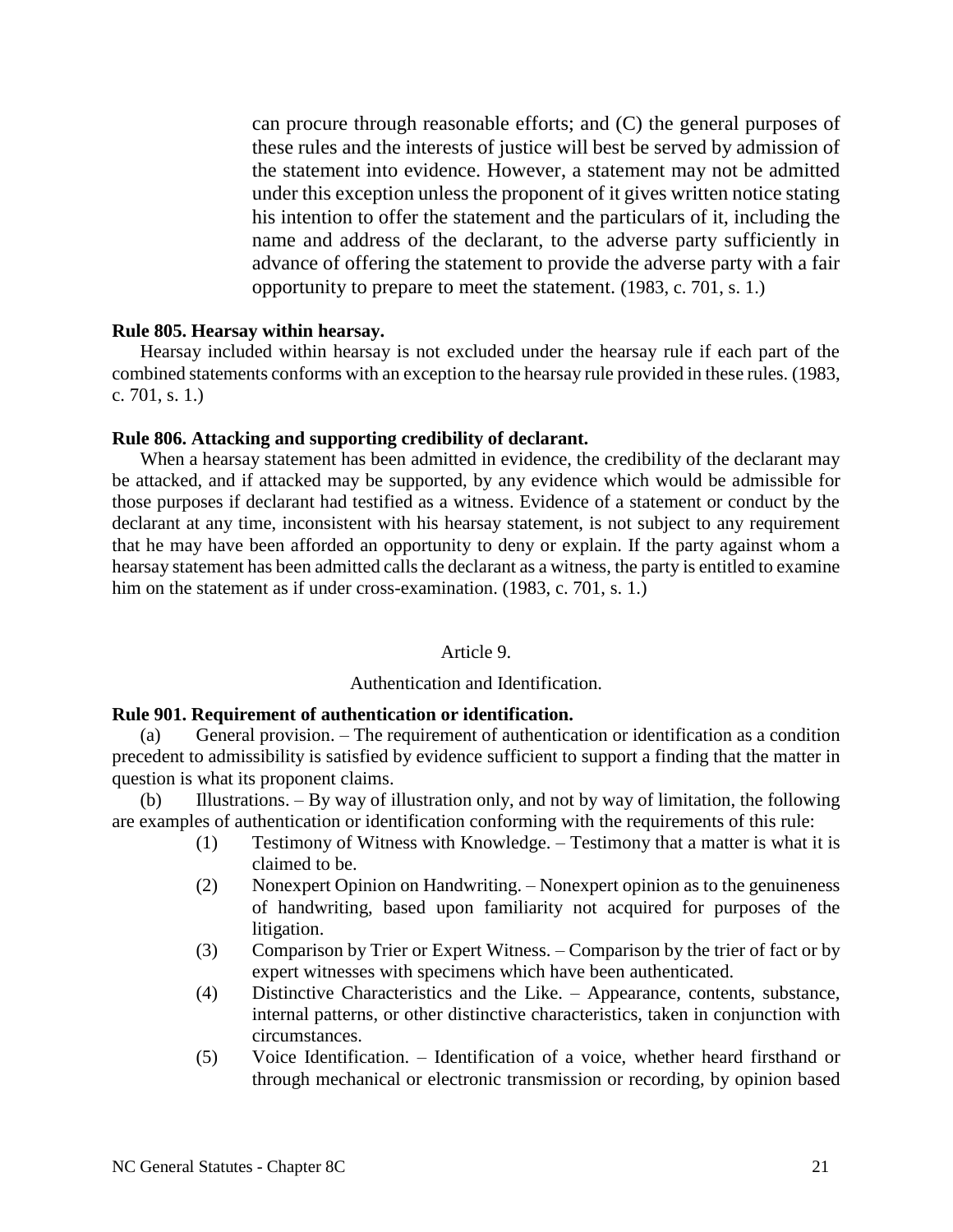can procure through reasonable efforts; and (C) the general purposes of these rules and the interests of justice will best be served by admission of the statement into evidence. However, a statement may not be admitted under this exception unless the proponent of it gives written notice stating his intention to offer the statement and the particulars of it, including the name and address of the declarant, to the adverse party sufficiently in advance of offering the statement to provide the adverse party with a fair opportunity to prepare to meet the statement. (1983, c. 701, s. 1.)

#### **Rule 805. Hearsay within hearsay.**

Hearsay included within hearsay is not excluded under the hearsay rule if each part of the combined statements conforms with an exception to the hearsay rule provided in these rules. (1983, c. 701, s. 1.)

#### **Rule 806. Attacking and supporting credibility of declarant.**

When a hearsay statement has been admitted in evidence, the credibility of the declarant may be attacked, and if attacked may be supported, by any evidence which would be admissible for those purposes if declarant had testified as a witness. Evidence of a statement or conduct by the declarant at any time, inconsistent with his hearsay statement, is not subject to any requirement that he may have been afforded an opportunity to deny or explain. If the party against whom a hearsay statement has been admitted calls the declarant as a witness, the party is entitled to examine him on the statement as if under cross-examination. (1983, c. 701, s. 1.)

### Article 9.

### Authentication and Identification.

#### **Rule 901. Requirement of authentication or identification.**

(a) General provision. – The requirement of authentication or identification as a condition precedent to admissibility is satisfied by evidence sufficient to support a finding that the matter in question is what its proponent claims.

(b) Illustrations. – By way of illustration only, and not by way of limitation, the following are examples of authentication or identification conforming with the requirements of this rule:

- (1) Testimony of Witness with Knowledge. Testimony that a matter is what it is claimed to be.
- (2) Nonexpert Opinion on Handwriting. Nonexpert opinion as to the genuineness of handwriting, based upon familiarity not acquired for purposes of the litigation.
- (3) Comparison by Trier or Expert Witness. Comparison by the trier of fact or by expert witnesses with specimens which have been authenticated.
- (4) Distinctive Characteristics and the Like. Appearance, contents, substance, internal patterns, or other distinctive characteristics, taken in conjunction with circumstances.
- (5) Voice Identification. Identification of a voice, whether heard firsthand or through mechanical or electronic transmission or recording, by opinion based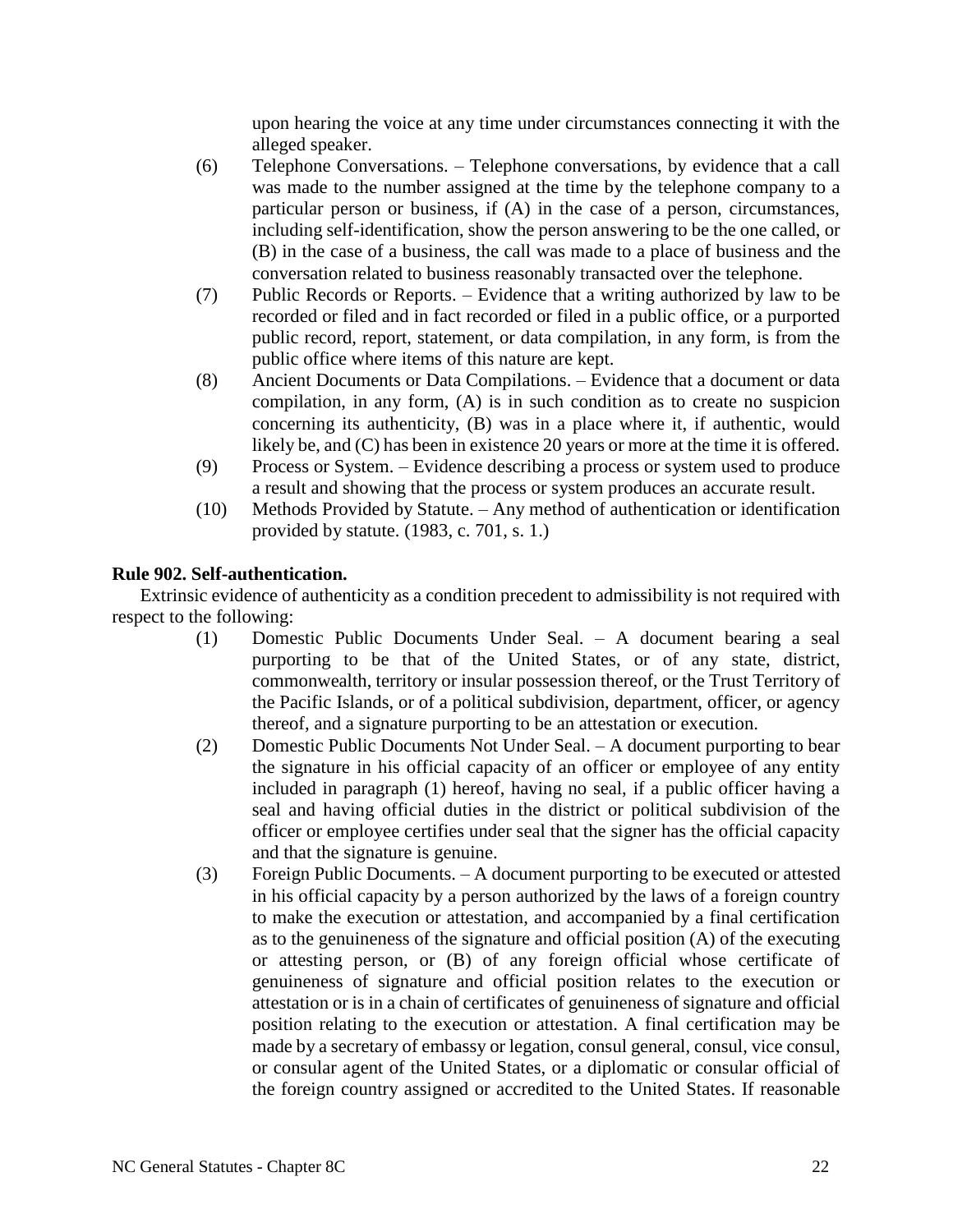upon hearing the voice at any time under circumstances connecting it with the alleged speaker.

- (6) Telephone Conversations. Telephone conversations, by evidence that a call was made to the number assigned at the time by the telephone company to a particular person or business, if (A) in the case of a person, circumstances, including self-identification, show the person answering to be the one called, or (B) in the case of a business, the call was made to a place of business and the conversation related to business reasonably transacted over the telephone.
- (7) Public Records or Reports. Evidence that a writing authorized by law to be recorded or filed and in fact recorded or filed in a public office, or a purported public record, report, statement, or data compilation, in any form, is from the public office where items of this nature are kept.
- (8) Ancient Documents or Data Compilations. Evidence that a document or data compilation, in any form, (A) is in such condition as to create no suspicion concerning its authenticity, (B) was in a place where it, if authentic, would likely be, and (C) has been in existence 20 years or more at the time it is offered.
- (9) Process or System. Evidence describing a process or system used to produce a result and showing that the process or system produces an accurate result.
- (10) Methods Provided by Statute. Any method of authentication or identification provided by statute. (1983, c. 701, s. 1.)

# **Rule 902. Self-authentication.**

Extrinsic evidence of authenticity as a condition precedent to admissibility is not required with respect to the following:

- (1) Domestic Public Documents Under Seal. A document bearing a seal purporting to be that of the United States, or of any state, district, commonwealth, territory or insular possession thereof, or the Trust Territory of the Pacific Islands, or of a political subdivision, department, officer, or agency thereof, and a signature purporting to be an attestation or execution.
- (2) Domestic Public Documents Not Under Seal. A document purporting to bear the signature in his official capacity of an officer or employee of any entity included in paragraph (1) hereof, having no seal, if a public officer having a seal and having official duties in the district or political subdivision of the officer or employee certifies under seal that the signer has the official capacity and that the signature is genuine.
- (3) Foreign Public Documents. A document purporting to be executed or attested in his official capacity by a person authorized by the laws of a foreign country to make the execution or attestation, and accompanied by a final certification as to the genuineness of the signature and official position (A) of the executing or attesting person, or (B) of any foreign official whose certificate of genuineness of signature and official position relates to the execution or attestation or is in a chain of certificates of genuineness of signature and official position relating to the execution or attestation. A final certification may be made by a secretary of embassy or legation, consul general, consul, vice consul, or consular agent of the United States, or a diplomatic or consular official of the foreign country assigned or accredited to the United States. If reasonable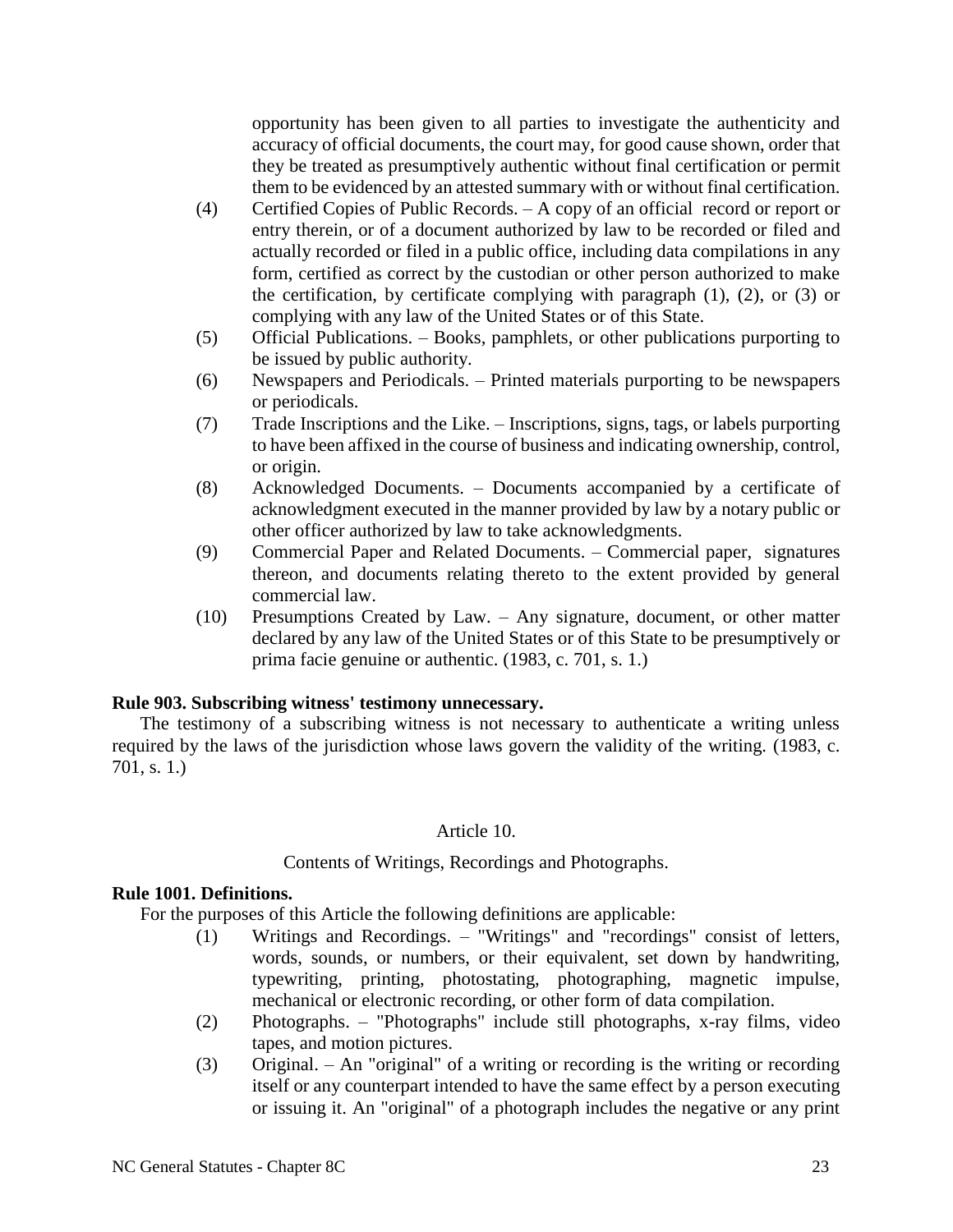opportunity has been given to all parties to investigate the authenticity and accuracy of official documents, the court may, for good cause shown, order that they be treated as presumptively authentic without final certification or permit them to be evidenced by an attested summary with or without final certification.

- (4) Certified Copies of Public Records. A copy of an official record or report or entry therein, or of a document authorized by law to be recorded or filed and actually recorded or filed in a public office, including data compilations in any form, certified as correct by the custodian or other person authorized to make the certification, by certificate complying with paragraph  $(1)$ ,  $(2)$ , or  $(3)$  or complying with any law of the United States or of this State.
- (5) Official Publications. Books, pamphlets, or other publications purporting to be issued by public authority.
- (6) Newspapers and Periodicals. Printed materials purporting to be newspapers or periodicals.
- (7) Trade Inscriptions and the Like. Inscriptions, signs, tags, or labels purporting to have been affixed in the course of business and indicating ownership, control, or origin.
- (8) Acknowledged Documents. Documents accompanied by a certificate of acknowledgment executed in the manner provided by law by a notary public or other officer authorized by law to take acknowledgments.
- (9) Commercial Paper and Related Documents. Commercial paper, signatures thereon, and documents relating thereto to the extent provided by general commercial law.
- (10) Presumptions Created by Law. Any signature, document, or other matter declared by any law of the United States or of this State to be presumptively or prima facie genuine or authentic. (1983, c. 701, s. 1.)

## **Rule 903. Subscribing witness' testimony unnecessary.**

The testimony of a subscribing witness is not necessary to authenticate a writing unless required by the laws of the jurisdiction whose laws govern the validity of the writing. (1983, c. 701, s. 1.)

## Article 10.

## Contents of Writings, Recordings and Photographs.

### **Rule 1001. Definitions.**

For the purposes of this Article the following definitions are applicable:

- (1) Writings and Recordings. "Writings" and "recordings" consist of letters, words, sounds, or numbers, or their equivalent, set down by handwriting, typewriting, printing, photostating, photographing, magnetic impulse, mechanical or electronic recording, or other form of data compilation.
- (2) Photographs. "Photographs" include still photographs, x-ray films, video tapes, and motion pictures.
- (3) Original. An "original" of a writing or recording is the writing or recording itself or any counterpart intended to have the same effect by a person executing or issuing it. An "original" of a photograph includes the negative or any print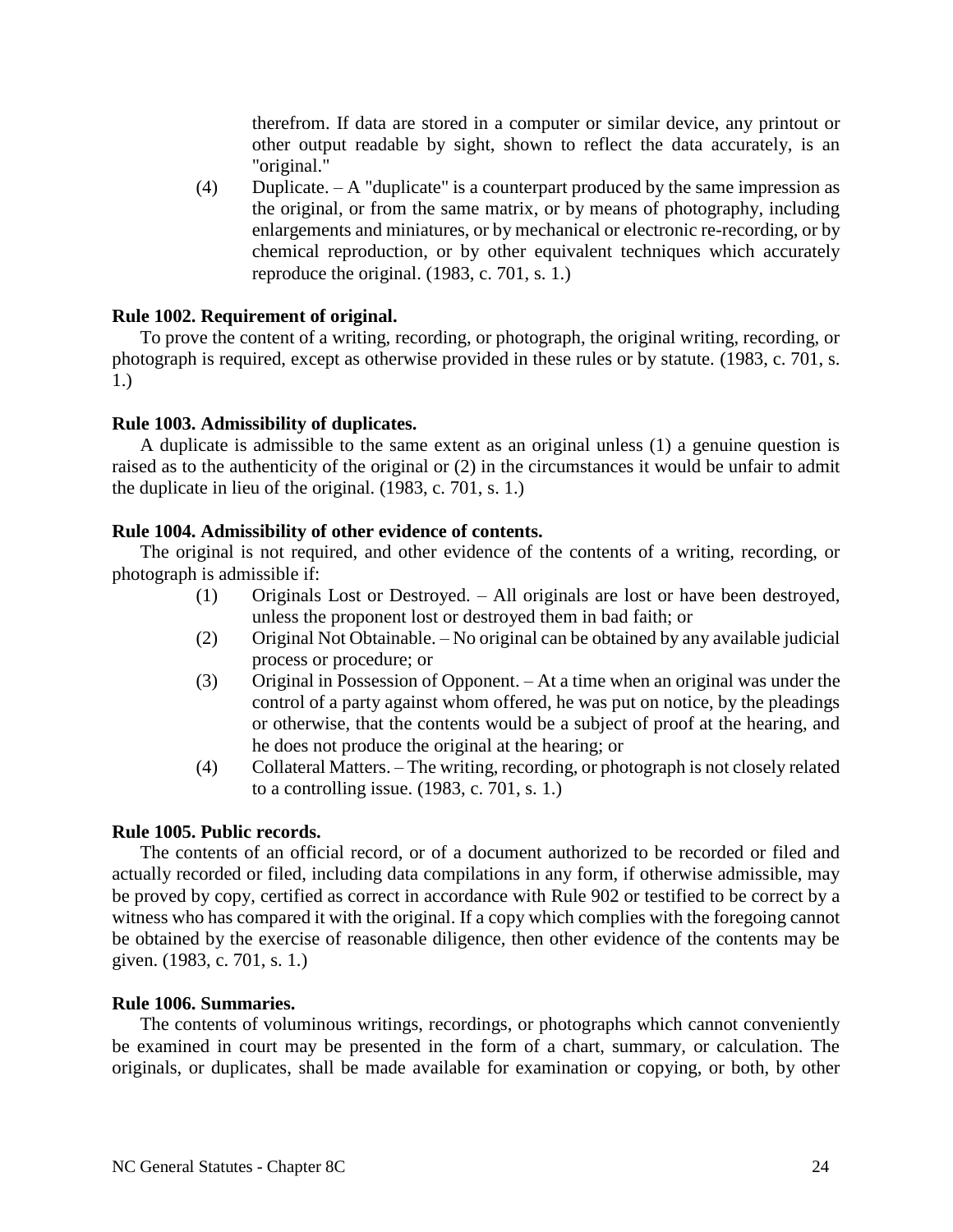therefrom. If data are stored in a computer or similar device, any printout or other output readable by sight, shown to reflect the data accurately, is an "original."

(4) Duplicate.  $- A$  "duplicate" is a counterpart produced by the same impression as the original, or from the same matrix, or by means of photography, including enlargements and miniatures, or by mechanical or electronic re-recording, or by chemical reproduction, or by other equivalent techniques which accurately reproduce the original. (1983, c. 701, s. 1.)

### **Rule 1002. Requirement of original.**

To prove the content of a writing, recording, or photograph, the original writing, recording, or photograph is required, except as otherwise provided in these rules or by statute. (1983, c. 701, s. 1.)

### **Rule 1003. Admissibility of duplicates.**

A duplicate is admissible to the same extent as an original unless (1) a genuine question is raised as to the authenticity of the original or (2) in the circumstances it would be unfair to admit the duplicate in lieu of the original. (1983, c. 701, s. 1.)

### **Rule 1004. Admissibility of other evidence of contents.**

The original is not required, and other evidence of the contents of a writing, recording, or photograph is admissible if:

- (1) Originals Lost or Destroyed. All originals are lost or have been destroyed, unless the proponent lost or destroyed them in bad faith; or
- (2) Original Not Obtainable. No original can be obtained by any available judicial process or procedure; or
- (3) Original in Possession of Opponent. At a time when an original was under the control of a party against whom offered, he was put on notice, by the pleadings or otherwise, that the contents would be a subject of proof at the hearing, and he does not produce the original at the hearing; or
- (4) Collateral Matters. The writing, recording, or photograph is not closely related to a controlling issue. (1983, c. 701, s. 1.)

## **Rule 1005. Public records.**

The contents of an official record, or of a document authorized to be recorded or filed and actually recorded or filed, including data compilations in any form, if otherwise admissible, may be proved by copy, certified as correct in accordance with Rule 902 or testified to be correct by a witness who has compared it with the original. If a copy which complies with the foregoing cannot be obtained by the exercise of reasonable diligence, then other evidence of the contents may be given. (1983, c. 701, s. 1.)

### **Rule 1006. Summaries.**

The contents of voluminous writings, recordings, or photographs which cannot conveniently be examined in court may be presented in the form of a chart, summary, or calculation. The originals, or duplicates, shall be made available for examination or copying, or both, by other